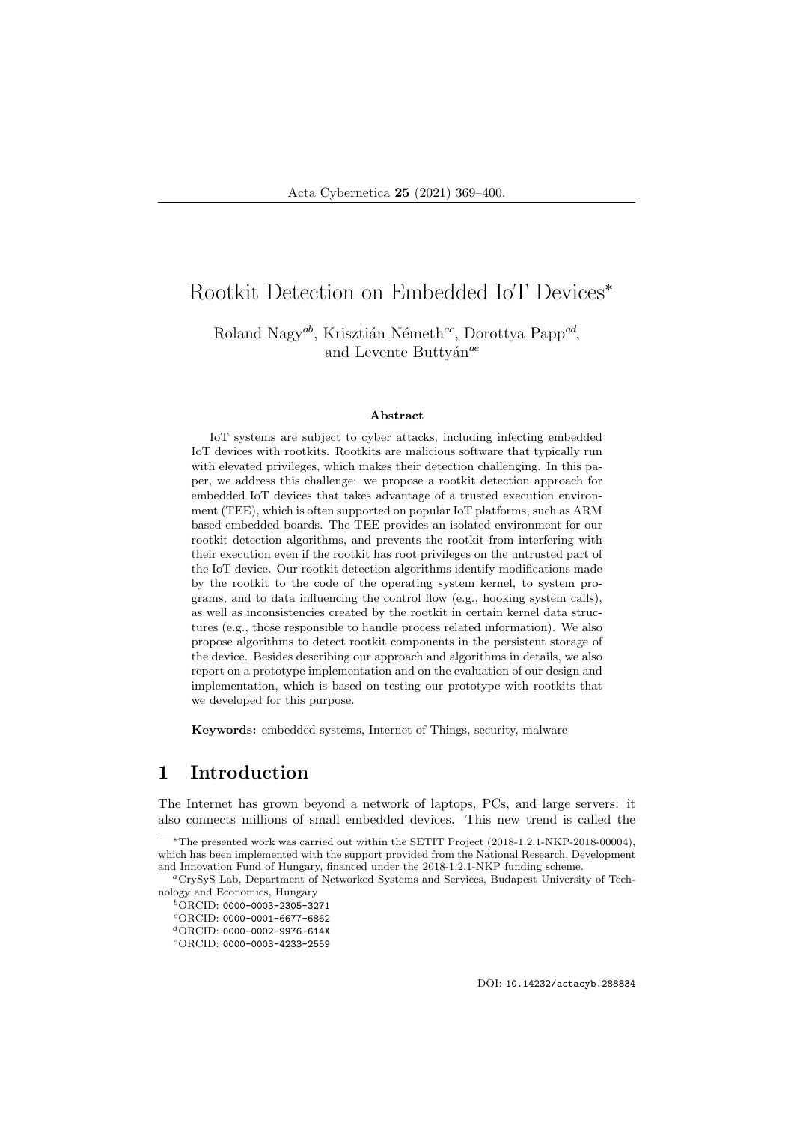# Rootkit Detection on Embedded IoT Devices<sup>∗</sup>

Roland Nagy<sup>ab</sup>, Krisztián Németh<sup>ac</sup>, Dorottya Papp<sup>ad</sup>, and Levente Buttyán<sup>ae</sup>

#### Abstract

IoT systems are subject to cyber attacks, including infecting embedded IoT devices with rootkits. Rootkits are malicious software that typically run with elevated privileges, which makes their detection challenging. In this paper, we address this challenge: we propose a rootkit detection approach for embedded IoT devices that takes advantage of a trusted execution environment (TEE), which is often supported on popular IoT platforms, such as ARM based embedded boards. The TEE provides an isolated environment for our rootkit detection algorithms, and prevents the rootkit from interfering with their execution even if the rootkit has root privileges on the untrusted part of the IoT device. Our rootkit detection algorithms identify modifications made by the rootkit to the code of the operating system kernel, to system programs, and to data influencing the control flow (e.g., hooking system calls), as well as inconsistencies created by the rootkit in certain kernel data structures (e.g., those responsible to handle process related information). We also propose algorithms to detect rootkit components in the persistent storage of the device. Besides describing our approach and algorithms in details, we also report on a prototype implementation and on the evaluation of our design and implementation, which is based on testing our prototype with rootkits that we developed for this purpose.

Keywords: embedded systems, Internet of Things, security, malware

### 1 Introduction

The Internet has grown beyond a network of laptops, PCs, and large servers: it also connects millions of small embedded devices. This new trend is called the

DOI: 10.14232/actacyb.288834

<sup>∗</sup>The presented work was carried out within the SETIT Project (2018-1.2.1-NKP-2018-00004), which has been implemented with the support provided from the National Research, Development and Innovation Fund of Hungary, financed under the 2018-1.2.1-NKP funding scheme.

<sup>a</sup>CrySyS Lab, Department of Networked Systems and Services, Budapest University of Technology and Economics, Hungary

 $^{b}$ ORCID: 0000-0003-2305-3271 <sup>c</sup>ORCID: 0000-0001-6677-6862

 ${}^{d}$ ORCID: 0000-0002-9976-614X

<sup>e</sup>ORCID: 0000-0003-4233-2559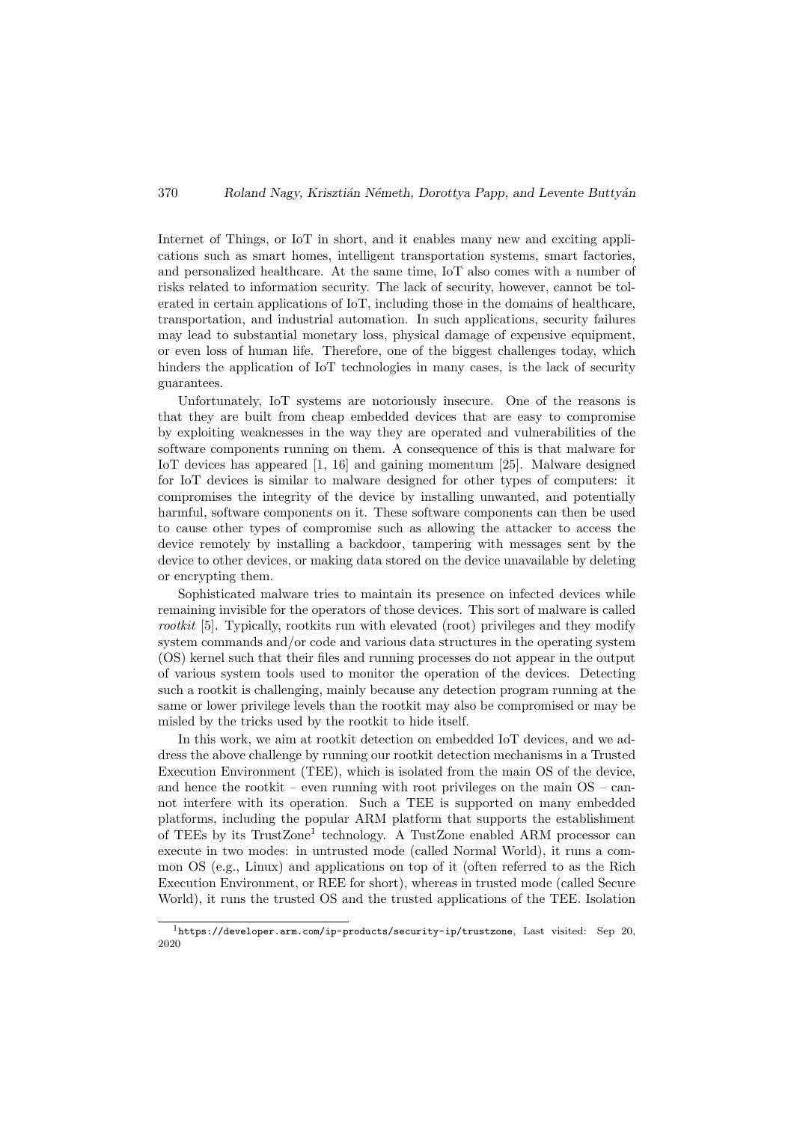Internet of Things, or IoT in short, and it enables many new and exciting applications such as smart homes, intelligent transportation systems, smart factories, and personalized healthcare. At the same time, IoT also comes with a number of risks related to information security. The lack of security, however, cannot be tolerated in certain applications of IoT, including those in the domains of healthcare, transportation, and industrial automation. In such applications, security failures may lead to substantial monetary loss, physical damage of expensive equipment, or even loss of human life. Therefore, one of the biggest challenges today, which hinders the application of IoT technologies in many cases, is the lack of security guarantees.

Unfortunately, IoT systems are notoriously insecure. One of the reasons is that they are built from cheap embedded devices that are easy to compromise by exploiting weaknesses in the way they are operated and vulnerabilities of the software components running on them. A consequence of this is that malware for IoT devices has appeared [1, 16] and gaining momentum [25]. Malware designed for IoT devices is similar to malware designed for other types of computers: it compromises the integrity of the device by installing unwanted, and potentially harmful, software components on it. These software components can then be used to cause other types of compromise such as allowing the attacker to access the device remotely by installing a backdoor, tampering with messages sent by the device to other devices, or making data stored on the device unavailable by deleting or encrypting them.

Sophisticated malware tries to maintain its presence on infected devices while remaining invisible for the operators of those devices. This sort of malware is called rootkit [5]. Typically, rootkits run with elevated (root) privileges and they modify system commands and/or code and various data structures in the operating system (OS) kernel such that their files and running processes do not appear in the output of various system tools used to monitor the operation of the devices. Detecting such a rootkit is challenging, mainly because any detection program running at the same or lower privilege levels than the rootkit may also be compromised or may be misled by the tricks used by the rootkit to hide itself.

In this work, we aim at rootkit detection on embedded IoT devices, and we address the above challenge by running our rootkit detection mechanisms in a Trusted Execution Environment (TEE), which is isolated from the main OS of the device, and hence the rootkit – even running with root privileges on the main  $OS - can$ not interfere with its operation. Such a TEE is supported on many embedded platforms, including the popular ARM platform that supports the establishment of TEEs by its TrustZone<sup>1</sup> technology. A TustZone enabled ARM processor can execute in two modes: in untrusted mode (called Normal World), it runs a common OS (e.g., Linux) and applications on top of it (often referred to as the Rich Execution Environment, or REE for short), whereas in trusted mode (called Secure World), it runs the trusted OS and the trusted applications of the TEE. Isolation

 $1$ https://developer.arm.com/ip-products/security-ip/trustzone, Last visited: Sep 20, 2020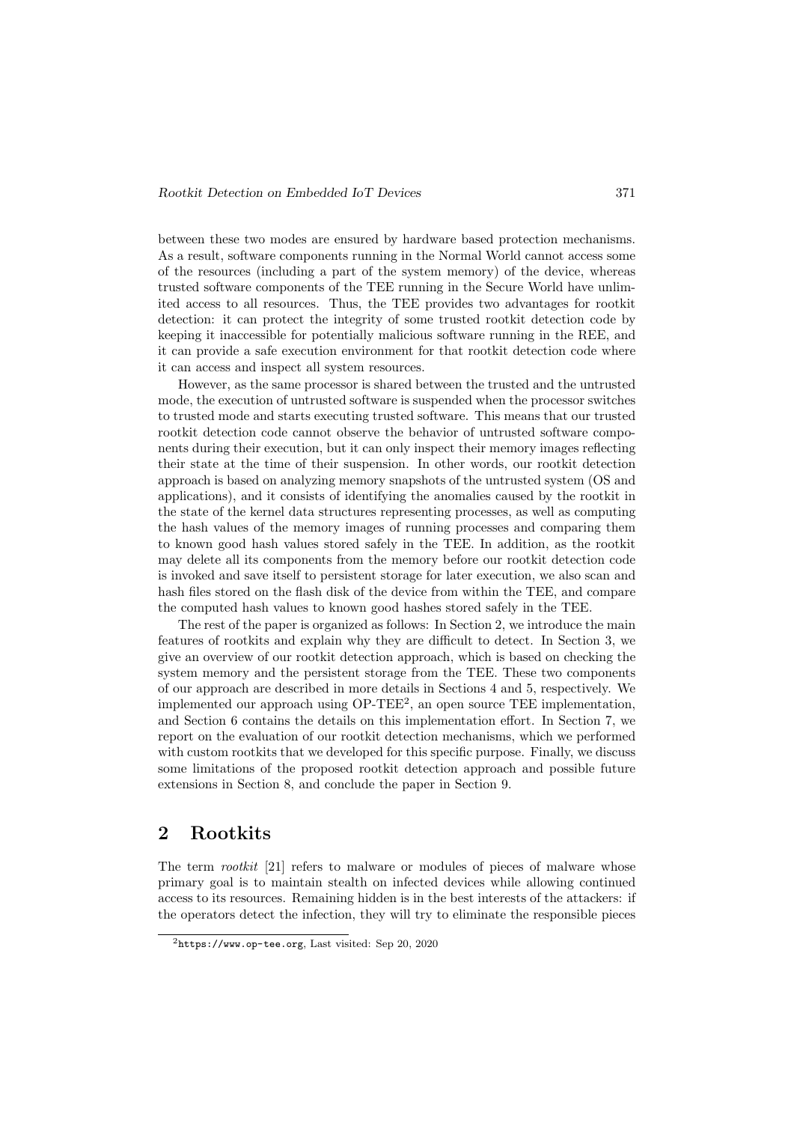between these two modes are ensured by hardware based protection mechanisms. As a result, software components running in the Normal World cannot access some of the resources (including a part of the system memory) of the device, whereas trusted software components of the TEE running in the Secure World have unlimited access to all resources. Thus, the TEE provides two advantages for rootkit detection: it can protect the integrity of some trusted rootkit detection code by keeping it inaccessible for potentially malicious software running in the REE, and it can provide a safe execution environment for that rootkit detection code where it can access and inspect all system resources.

However, as the same processor is shared between the trusted and the untrusted mode, the execution of untrusted software is suspended when the processor switches to trusted mode and starts executing trusted software. This means that our trusted rootkit detection code cannot observe the behavior of untrusted software components during their execution, but it can only inspect their memory images reflecting their state at the time of their suspension. In other words, our rootkit detection approach is based on analyzing memory snapshots of the untrusted system (OS and applications), and it consists of identifying the anomalies caused by the rootkit in the state of the kernel data structures representing processes, as well as computing the hash values of the memory images of running processes and comparing them to known good hash values stored safely in the TEE. In addition, as the rootkit may delete all its components from the memory before our rootkit detection code is invoked and save itself to persistent storage for later execution, we also scan and hash files stored on the flash disk of the device from within the TEE, and compare the computed hash values to known good hashes stored safely in the TEE.

The rest of the paper is organized as follows: In Section 2, we introduce the main features of rootkits and explain why they are difficult to detect. In Section 3, we give an overview of our rootkit detection approach, which is based on checking the system memory and the persistent storage from the TEE. These two components of our approach are described in more details in Sections 4 and 5, respectively. We implemented our approach using  $OP-TEE^2$ , an open source TEE implementation, and Section 6 contains the details on this implementation effort. In Section 7, we report on the evaluation of our rootkit detection mechanisms, which we performed with custom rootkits that we developed for this specific purpose. Finally, we discuss some limitations of the proposed rootkit detection approach and possible future extensions in Section 8, and conclude the paper in Section 9.

### 2 Rootkits

The term *rootkit* [21] refers to malware or modules of pieces of malware whose primary goal is to maintain stealth on infected devices while allowing continued access to its resources. Remaining hidden is in the best interests of the attackers: if the operators detect the infection, they will try to eliminate the responsible pieces

 $2$ https://www.op-tee.org, Last visited: Sep 20, 2020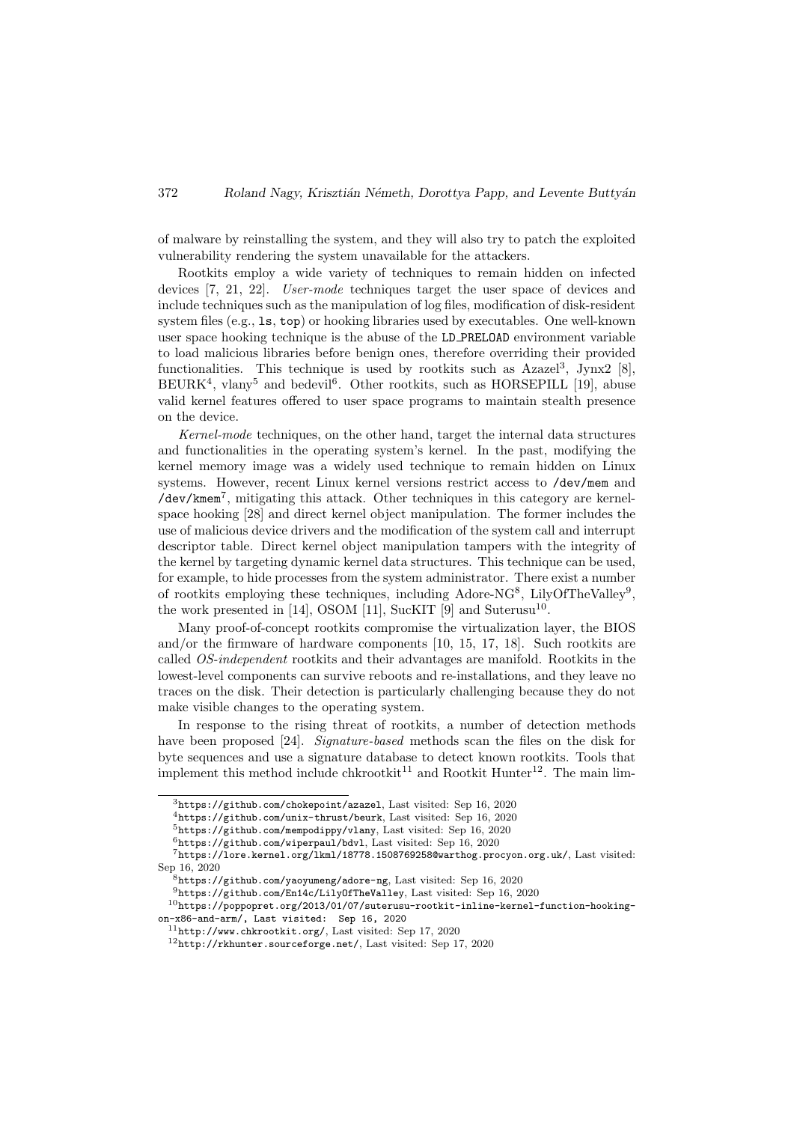of malware by reinstalling the system, and they will also try to patch the exploited vulnerability rendering the system unavailable for the attackers.

Rootkits employ a wide variety of techniques to remain hidden on infected devices [7, 21, 22]. User-mode techniques target the user space of devices and include techniques such as the manipulation of log files, modification of disk-resident system files (e.g., ls, top) or hooking libraries used by executables. One well-known user space hooking technique is the abuse of the LD PRELOAD environment variable to load malicious libraries before benign ones, therefore overriding their provided functionalities. This technique is used by rootkits such as  $Azazel<sup>3</sup>$ , Jynx2 [8],  $BEURK<sup>4</sup>$ , vlany<sup>5</sup> and bedevil<sup>6</sup>. Other rootkits, such as HORSEPILL [19], abuse valid kernel features offered to user space programs to maintain stealth presence on the device.

Kernel-mode techniques, on the other hand, target the internal data structures and functionalities in the operating system's kernel. In the past, modifying the kernel memory image was a widely used technique to remain hidden on Linux systems. However, recent Linux kernel versions restrict access to /dev/mem and /dev/kmem<sup>7</sup> , mitigating this attack. Other techniques in this category are kernelspace hooking [28] and direct kernel object manipulation. The former includes the use of malicious device drivers and the modification of the system call and interrupt descriptor table. Direct kernel object manipulation tampers with the integrity of the kernel by targeting dynamic kernel data structures. This technique can be used, for example, to hide processes from the system administrator. There exist a number of rootkits employing these techniques, including Adore-NG<sup>8</sup>, LilyOfTheValley<sup>9</sup>, the work presented in [14], OSOM [11], SucKIT [9] and Suterusu<sup>10</sup>.

Many proof-of-concept rootkits compromise the virtualization layer, the BIOS and/or the firmware of hardware components [10, 15, 17, 18]. Such rootkits are called OS-independent rootkits and their advantages are manifold. Rootkits in the lowest-level components can survive reboots and re-installations, and they leave no traces on the disk. Their detection is particularly challenging because they do not make visible changes to the operating system.

In response to the rising threat of rootkits, a number of detection methods have been proposed [24]. Signature-based methods scan the files on the disk for byte sequences and use a signature database to detect known rootkits. Tools that implement this method include chkrootkit<sup>11</sup> and Rootkit Hunter<sup>12</sup>. The main lim-

 $3$ https://github.com/chokepoint/azazel, Last visited: Sep 16, 2020

<sup>4</sup>https://github.com/unix-thrust/beurk, Last visited: Sep 16, 2020

<sup>5</sup>https://github.com/mempodippy/vlany, Last visited: Sep 16, 2020

<sup>6</sup>https://github.com/wiperpaul/bdvl, Last visited: Sep 16, 2020

 $7$ https://lore.kernel.org/lkml/18778.1508769258@warthog.procyon.org.uk/, Last visited: Sep 16, 2020

<sup>8</sup>https://github.com/yaoyumeng/adore-ng, Last visited: Sep 16, 2020

 $^9$  https://github.com/En14c/LilyOfTheValley, Last visited: Sep 16, 2020

 $10$ https://poppopret.org/2013/01/07/suterusu-rootkit-inline-kernel-function-hookingon-x86-and-arm/, Last visited: Sep 16, 2020

<sup>11</sup>http://www.chkrootkit.org/, Last visited: Sep 17, 2020

 $12$ http://rkhunter.sourceforge.net/, Last visited: Sep 17, 2020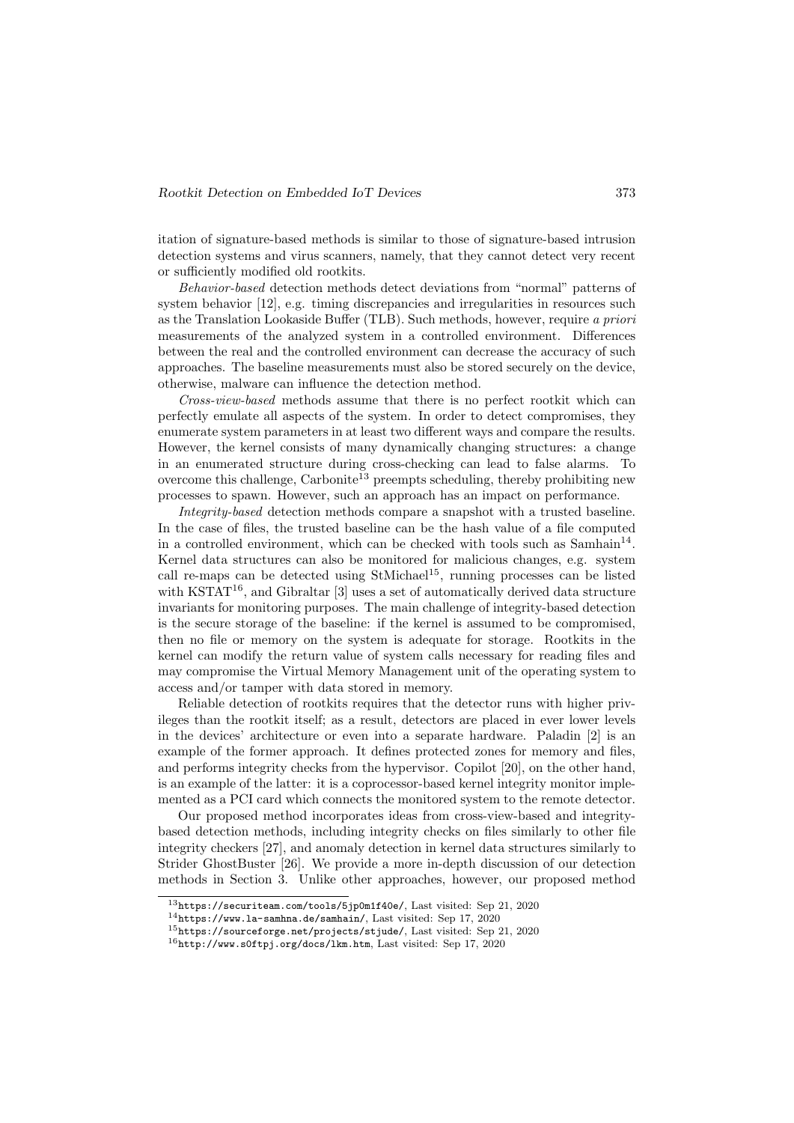itation of signature-based methods is similar to those of signature-based intrusion detection systems and virus scanners, namely, that they cannot detect very recent or sufficiently modified old rootkits.

Behavior-based detection methods detect deviations from "normal" patterns of system behavior [12], e.g. timing discrepancies and irregularities in resources such as the Translation Lookaside Buffer (TLB). Such methods, however, require a priori measurements of the analyzed system in a controlled environment. Differences between the real and the controlled environment can decrease the accuracy of such approaches. The baseline measurements must also be stored securely on the device, otherwise, malware can influence the detection method.

Cross-view-based methods assume that there is no perfect rootkit which can perfectly emulate all aspects of the system. In order to detect compromises, they enumerate system parameters in at least two different ways and compare the results. However, the kernel consists of many dynamically changing structures: a change in an enumerated structure during cross-checking can lead to false alarms. To overcome this challenge,  $\text{Carbonite}^{\text{13}}$  preempts scheduling, thereby prohibiting new processes to spawn. However, such an approach has an impact on performance.

Integrity-based detection methods compare a snapshot with a trusted baseline. In the case of files, the trusted baseline can be the hash value of a file computed in a controlled environment, which can be checked with tools such as  $Samhain<sup>14</sup>$ . Kernel data structures can also be monitored for malicious changes, e.g. system call re-maps can be detected using  $StMichael<sup>15</sup>$ , running processes can be listed with KSTAT<sup>16</sup>, and Gibraltar [3] uses a set of automatically derived data structure invariants for monitoring purposes. The main challenge of integrity-based detection is the secure storage of the baseline: if the kernel is assumed to be compromised, then no file or memory on the system is adequate for storage. Rootkits in the kernel can modify the return value of system calls necessary for reading files and may compromise the Virtual Memory Management unit of the operating system to access and/or tamper with data stored in memory.

Reliable detection of rootkits requires that the detector runs with higher privileges than the rootkit itself; as a result, detectors are placed in ever lower levels in the devices' architecture or even into a separate hardware. Paladin [2] is an example of the former approach. It defines protected zones for memory and files, and performs integrity checks from the hypervisor. Copilot [20], on the other hand, is an example of the latter: it is a coprocessor-based kernel integrity monitor implemented as a PCI card which connects the monitored system to the remote detector.

Our proposed method incorporates ideas from cross-view-based and integritybased detection methods, including integrity checks on files similarly to other file integrity checkers [27], and anomaly detection in kernel data structures similarly to Strider GhostBuster [26]. We provide a more in-depth discussion of our detection methods in Section 3. Unlike other approaches, however, our proposed method

<sup>13</sup>https://securiteam.com/tools/5jp0m1f40e/, Last visited: Sep 21, 2020

<sup>14</sup>https://www.la-samhna.de/samhain/, Last visited: Sep 17, 2020

<sup>15</sup>https://sourceforge.net/projects/stjude/, Last visited: Sep 21, 2020

 $^{16}$ http://www.s0ftpj.org/docs/lkm.htm, Last visited: Sep 17, 2020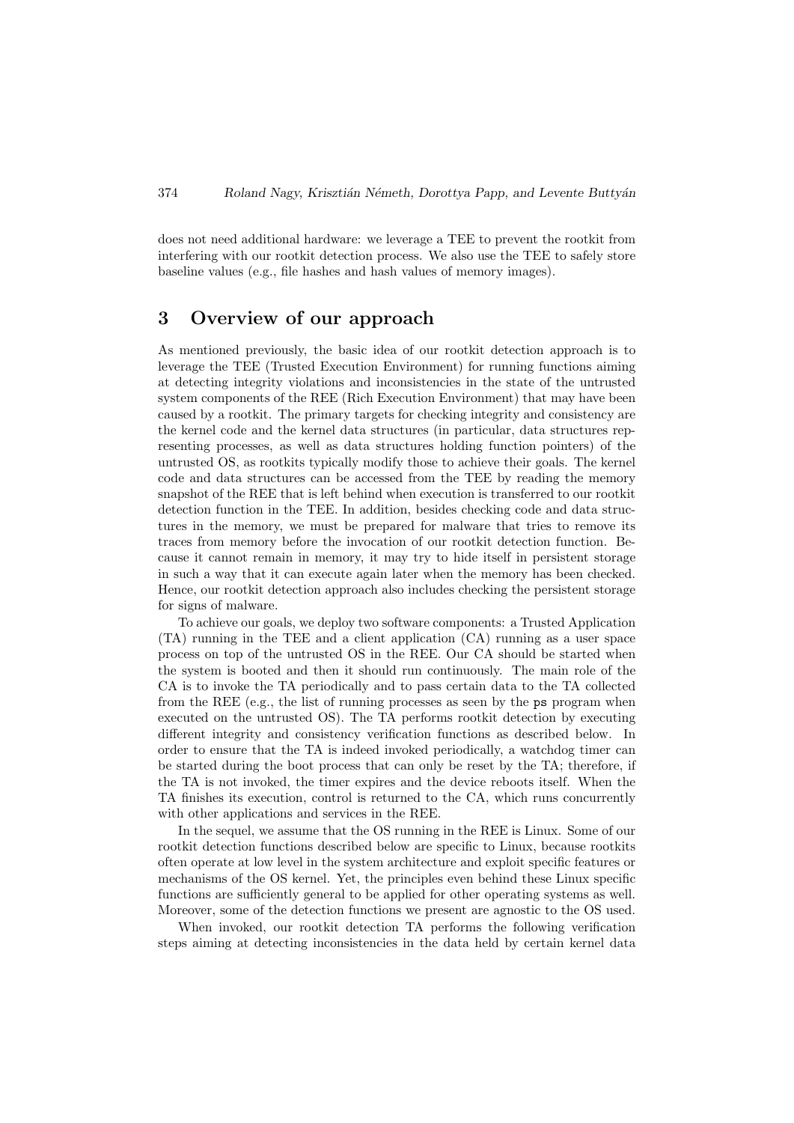does not need additional hardware: we leverage a TEE to prevent the rootkit from interfering with our rootkit detection process. We also use the TEE to safely store baseline values (e.g., file hashes and hash values of memory images).

# 3 Overview of our approach

As mentioned previously, the basic idea of our rootkit detection approach is to leverage the TEE (Trusted Execution Environment) for running functions aiming at detecting integrity violations and inconsistencies in the state of the untrusted system components of the REE (Rich Execution Environment) that may have been caused by a rootkit. The primary targets for checking integrity and consistency are the kernel code and the kernel data structures (in particular, data structures representing processes, as well as data structures holding function pointers) of the untrusted OS, as rootkits typically modify those to achieve their goals. The kernel code and data structures can be accessed from the TEE by reading the memory snapshot of the REE that is left behind when execution is transferred to our rootkit detection function in the TEE. In addition, besides checking code and data structures in the memory, we must be prepared for malware that tries to remove its traces from memory before the invocation of our rootkit detection function. Because it cannot remain in memory, it may try to hide itself in persistent storage in such a way that it can execute again later when the memory has been checked. Hence, our rootkit detection approach also includes checking the persistent storage for signs of malware.

To achieve our goals, we deploy two software components: a Trusted Application (TA) running in the TEE and a client application (CA) running as a user space process on top of the untrusted OS in the REE. Our CA should be started when the system is booted and then it should run continuously. The main role of the CA is to invoke the TA periodically and to pass certain data to the TA collected from the REE (e.g., the list of running processes as seen by the ps program when executed on the untrusted OS). The TA performs rootkit detection by executing different integrity and consistency verification functions as described below. In order to ensure that the TA is indeed invoked periodically, a watchdog timer can be started during the boot process that can only be reset by the TA; therefore, if the TA is not invoked, the timer expires and the device reboots itself. When the TA finishes its execution, control is returned to the CA, which runs concurrently with other applications and services in the REE.

In the sequel, we assume that the OS running in the REE is Linux. Some of our rootkit detection functions described below are specific to Linux, because rootkits often operate at low level in the system architecture and exploit specific features or mechanisms of the OS kernel. Yet, the principles even behind these Linux specific functions are sufficiently general to be applied for other operating systems as well. Moreover, some of the detection functions we present are agnostic to the OS used.

When invoked, our rootkit detection TA performs the following verification steps aiming at detecting inconsistencies in the data held by certain kernel data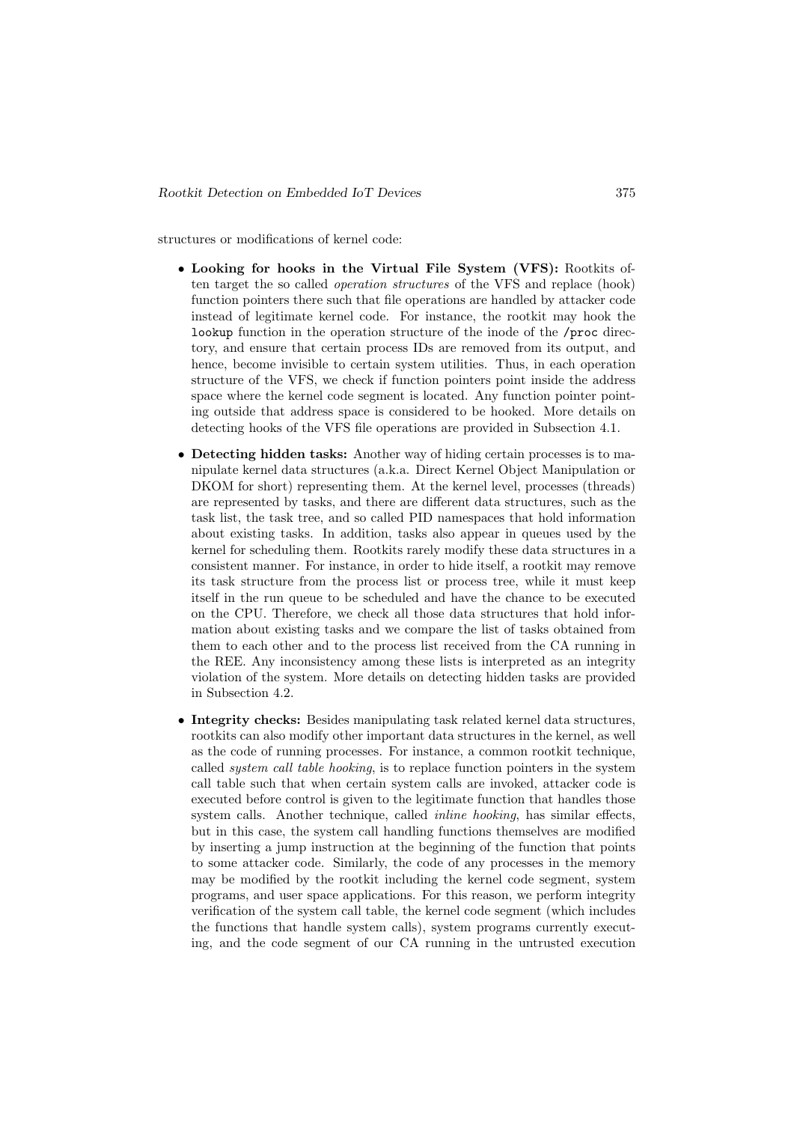structures or modifications of kernel code:

- Looking for hooks in the Virtual File System (VFS): Rootkits often target the so called operation structures of the VFS and replace (hook) function pointers there such that file operations are handled by attacker code instead of legitimate kernel code. For instance, the rootkit may hook the lookup function in the operation structure of the inode of the /proc directory, and ensure that certain process IDs are removed from its output, and hence, become invisible to certain system utilities. Thus, in each operation structure of the VFS, we check if function pointers point inside the address space where the kernel code segment is located. Any function pointer pointing outside that address space is considered to be hooked. More details on detecting hooks of the VFS file operations are provided in Subsection 4.1.
- Detecting hidden tasks: Another way of hiding certain processes is to manipulate kernel data structures (a.k.a. Direct Kernel Object Manipulation or DKOM for short) representing them. At the kernel level, processes (threads) are represented by tasks, and there are different data structures, such as the task list, the task tree, and so called PID namespaces that hold information about existing tasks. In addition, tasks also appear in queues used by the kernel for scheduling them. Rootkits rarely modify these data structures in a consistent manner. For instance, in order to hide itself, a rootkit may remove its task structure from the process list or process tree, while it must keep itself in the run queue to be scheduled and have the chance to be executed on the CPU. Therefore, we check all those data structures that hold information about existing tasks and we compare the list of tasks obtained from them to each other and to the process list received from the CA running in the REE. Any inconsistency among these lists is interpreted as an integrity violation of the system. More details on detecting hidden tasks are provided in Subsection 4.2.
- Integrity checks: Besides manipulating task related kernel data structures, rootkits can also modify other important data structures in the kernel, as well as the code of running processes. For instance, a common rootkit technique, called system call table hooking, is to replace function pointers in the system call table such that when certain system calls are invoked, attacker code is executed before control is given to the legitimate function that handles those system calls. Another technique, called inline hooking, has similar effects, but in this case, the system call handling functions themselves are modified by inserting a jump instruction at the beginning of the function that points to some attacker code. Similarly, the code of any processes in the memory may be modified by the rootkit including the kernel code segment, system programs, and user space applications. For this reason, we perform integrity verification of the system call table, the kernel code segment (which includes the functions that handle system calls), system programs currently executing, and the code segment of our CA running in the untrusted execution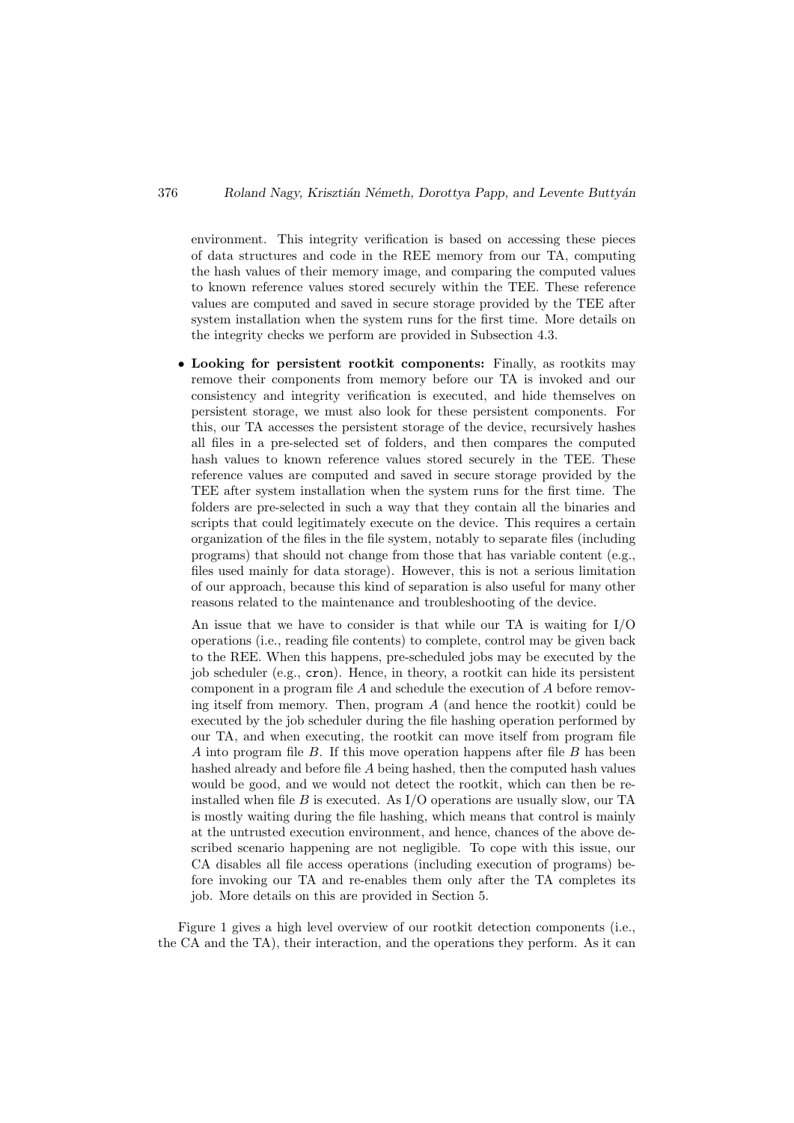environment. This integrity verification is based on accessing these pieces of data structures and code in the REE memory from our TA, computing the hash values of their memory image, and comparing the computed values to known reference values stored securely within the TEE. These reference values are computed and saved in secure storage provided by the TEE after system installation when the system runs for the first time. More details on the integrity checks we perform are provided in Subsection 4.3.

• Looking for persistent rootkit components: Finally, as rootkits may remove their components from memory before our TA is invoked and our consistency and integrity verification is executed, and hide themselves on persistent storage, we must also look for these persistent components. For this, our TA accesses the persistent storage of the device, recursively hashes all files in a pre-selected set of folders, and then compares the computed hash values to known reference values stored securely in the TEE. These reference values are computed and saved in secure storage provided by the TEE after system installation when the system runs for the first time. The folders are pre-selected in such a way that they contain all the binaries and scripts that could legitimately execute on the device. This requires a certain organization of the files in the file system, notably to separate files (including programs) that should not change from those that has variable content (e.g., files used mainly for data storage). However, this is not a serious limitation of our approach, because this kind of separation is also useful for many other reasons related to the maintenance and troubleshooting of the device.

An issue that we have to consider is that while our TA is waiting for I/O operations (i.e., reading file contents) to complete, control may be given back to the REE. When this happens, pre-scheduled jobs may be executed by the job scheduler (e.g., cron). Hence, in theory, a rootkit can hide its persistent component in a program file  $A$  and schedule the execution of  $A$  before removing itself from memory. Then, program  $A$  (and hence the rootkit) could be executed by the job scheduler during the file hashing operation performed by our TA, and when executing, the rootkit can move itself from program file A into program file B. If this move operation happens after file B has been hashed already and before file A being hashed, then the computed hash values would be good, and we would not detect the rootkit, which can then be reinstalled when file B is executed. As  $I/O$  operations are usually slow, our TA is mostly waiting during the file hashing, which means that control is mainly at the untrusted execution environment, and hence, chances of the above described scenario happening are not negligible. To cope with this issue, our CA disables all file access operations (including execution of programs) before invoking our TA and re-enables them only after the TA completes its job. More details on this are provided in Section 5.

Figure 1 gives a high level overview of our rootkit detection components (i.e., the CA and the TA), their interaction, and the operations they perform. As it can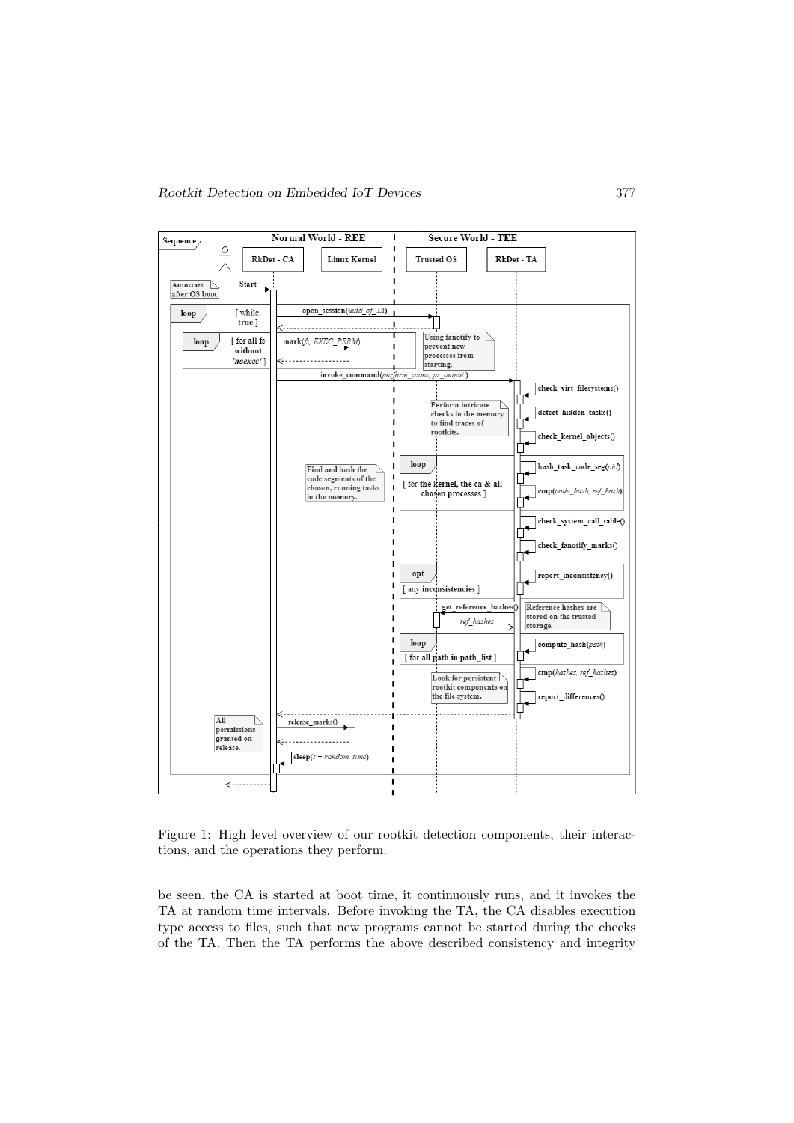

Figure 1: High level overview of our rootkit detection components, their interactions, and the operations they perform.

be seen, the CA is started at boot time, it continuously runs, and it invokes the TA at random time intervals. Before invoking the TA, the CA disables execution type access to files, such that new programs cannot be started during the checks of the TA. Then the TA performs the above described consistency and integrity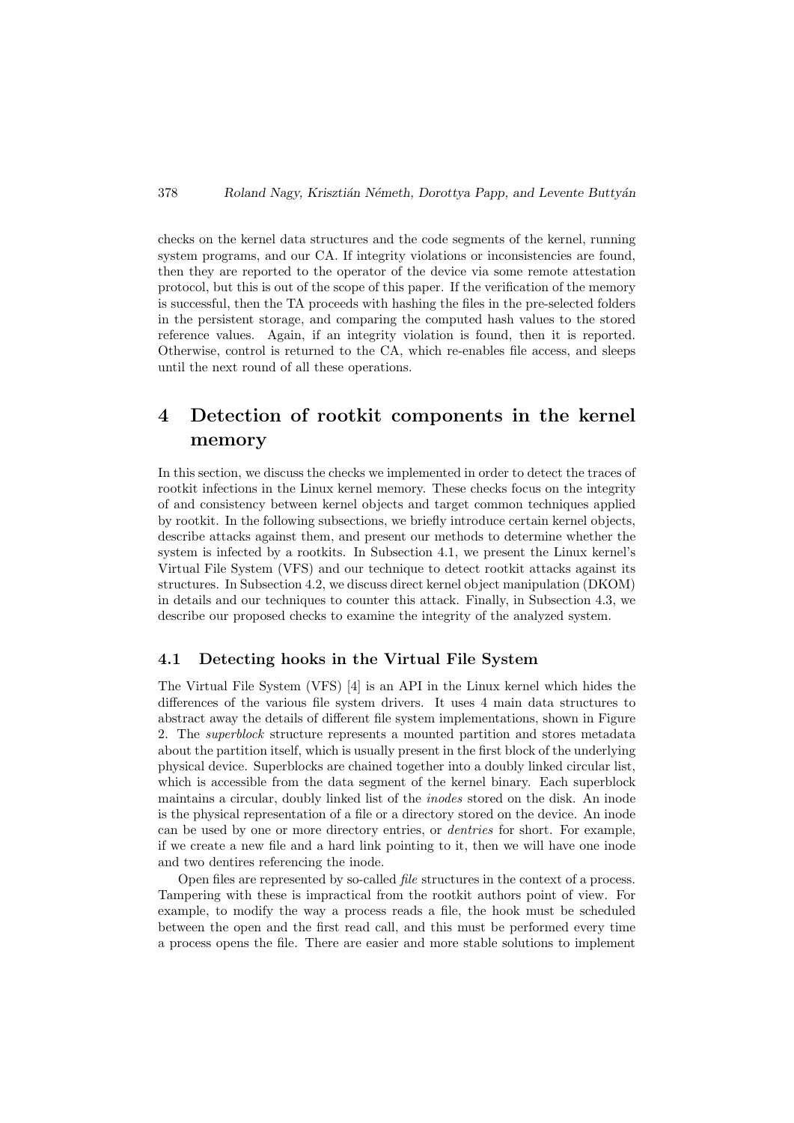checks on the kernel data structures and the code segments of the kernel, running system programs, and our CA. If integrity violations or inconsistencies are found, then they are reported to the operator of the device via some remote attestation protocol, but this is out of the scope of this paper. If the verification of the memory is successful, then the TA proceeds with hashing the files in the pre-selected folders in the persistent storage, and comparing the computed hash values to the stored reference values. Again, if an integrity violation is found, then it is reported. Otherwise, control is returned to the CA, which re-enables file access, and sleeps until the next round of all these operations.

# 4 Detection of rootkit components in the kernel memory

In this section, we discuss the checks we implemented in order to detect the traces of rootkit infections in the Linux kernel memory. These checks focus on the integrity of and consistency between kernel objects and target common techniques applied by rootkit. In the following subsections, we briefly introduce certain kernel objects, describe attacks against them, and present our methods to determine whether the system is infected by a rootkits. In Subsection 4.1, we present the Linux kernel's Virtual File System (VFS) and our technique to detect rootkit attacks against its structures. In Subsection 4.2, we discuss direct kernel object manipulation (DKOM) in details and our techniques to counter this attack. Finally, in Subsection 4.3, we describe our proposed checks to examine the integrity of the analyzed system.

### 4.1 Detecting hooks in the Virtual File System

The Virtual File System (VFS) [4] is an API in the Linux kernel which hides the differences of the various file system drivers. It uses 4 main data structures to abstract away the details of different file system implementations, shown in Figure 2. The superblock structure represents a mounted partition and stores metadata about the partition itself, which is usually present in the first block of the underlying physical device. Superblocks are chained together into a doubly linked circular list, which is accessible from the data segment of the kernel binary. Each superblock maintains a circular, doubly linked list of the inodes stored on the disk. An inode is the physical representation of a file or a directory stored on the device. An inode can be used by one or more directory entries, or dentries for short. For example, if we create a new file and a hard link pointing to it, then we will have one inode and two dentires referencing the inode.

Open files are represented by so-called file structures in the context of a process. Tampering with these is impractical from the rootkit authors point of view. For example, to modify the way a process reads a file, the hook must be scheduled between the open and the first read call, and this must be performed every time a process opens the file. There are easier and more stable solutions to implement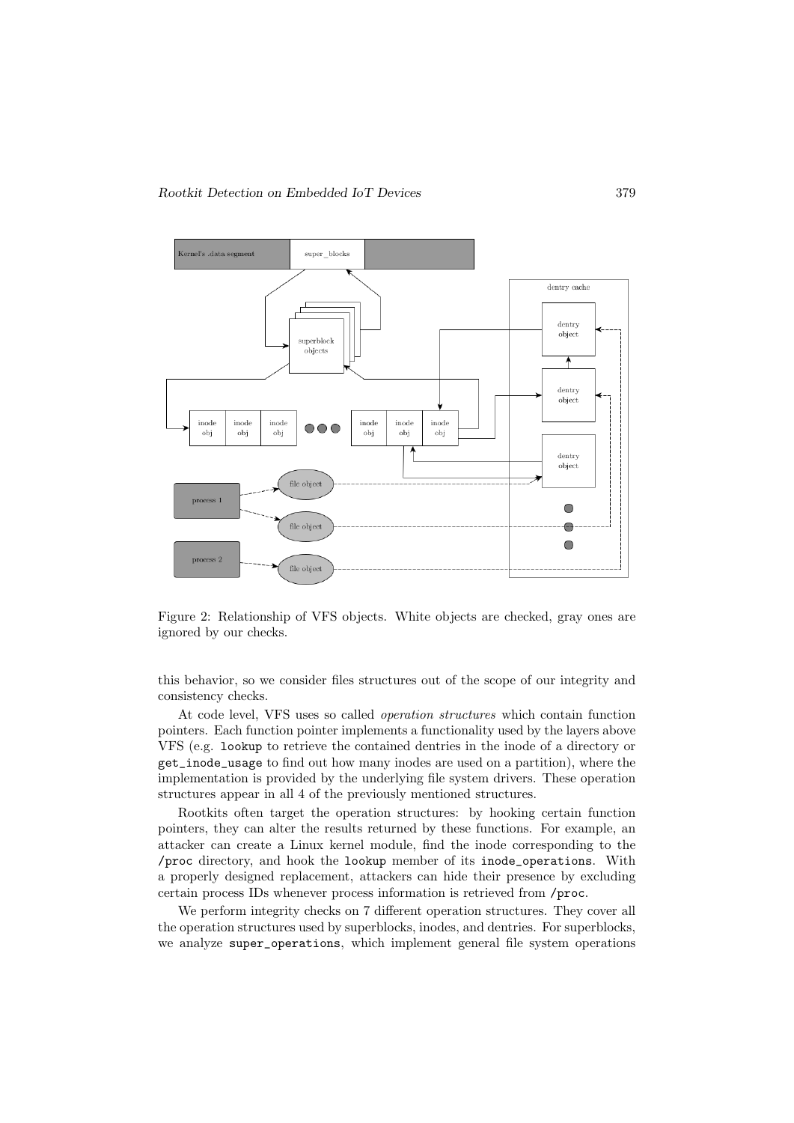

Figure 2: Relationship of VFS objects. White objects are checked, gray ones are ignored by our checks.

this behavior, so we consider files structures out of the scope of our integrity and consistency checks.

At code level, VFS uses so called operation structures which contain function pointers. Each function pointer implements a functionality used by the layers above VFS (e.g. lookup to retrieve the contained dentries in the inode of a directory or get\_inode\_usage to find out how many inodes are used on a partition), where the implementation is provided by the underlying file system drivers. These operation structures appear in all 4 of the previously mentioned structures.

Rootkits often target the operation structures: by hooking certain function pointers, they can alter the results returned by these functions. For example, an attacker can create a Linux kernel module, find the inode corresponding to the /proc directory, and hook the lookup member of its inode\_operations. With a properly designed replacement, attackers can hide their presence by excluding certain process IDs whenever process information is retrieved from /proc.

We perform integrity checks on 7 different operation structures. They cover all the operation structures used by superblocks, inodes, and dentries. For superblocks, we analyze super operations, which implement general file system operations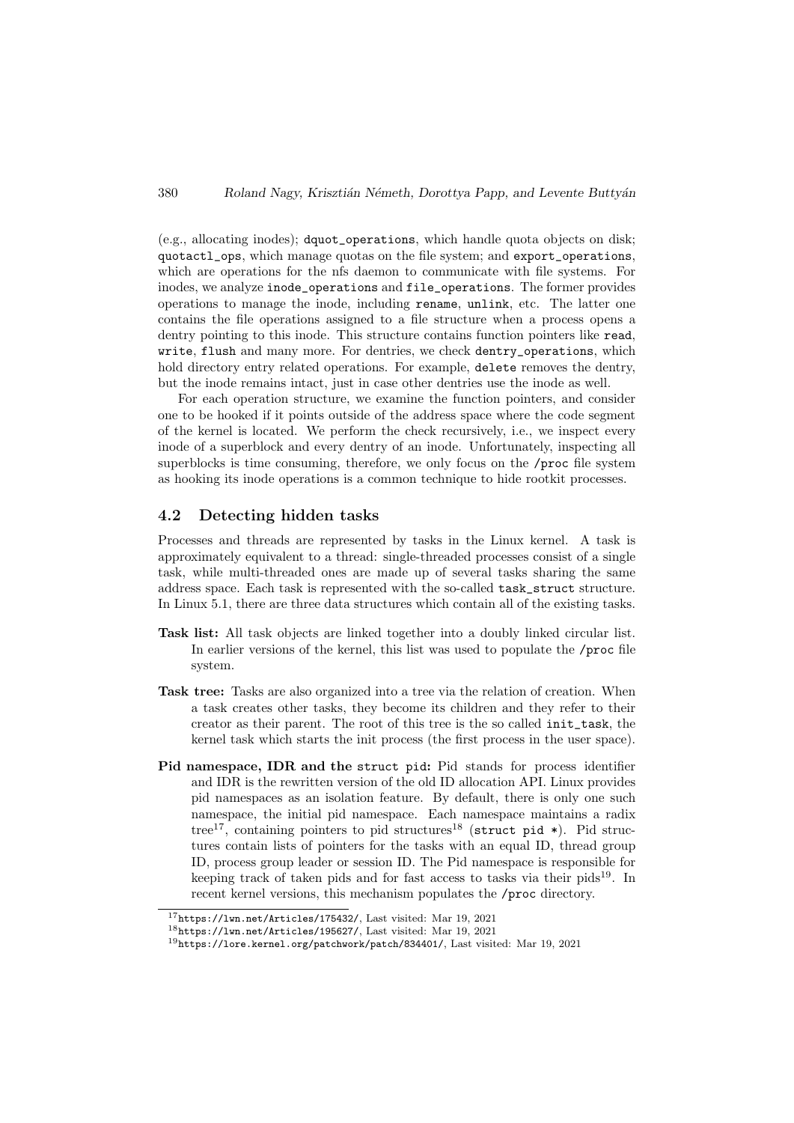(e.g., allocating inodes); dquot\_operations, which handle quota objects on disk; quotactl\_ops, which manage quotas on the file system; and export\_operations, which are operations for the nfs daemon to communicate with file systems. For inodes, we analyze inode\_operations and file\_operations. The former provides operations to manage the inode, including rename, unlink, etc. The latter one contains the file operations assigned to a file structure when a process opens a dentry pointing to this inode. This structure contains function pointers like read, write, flush and many more. For dentries, we check dentry\_operations, which hold directory entry related operations. For example, delete removes the dentry, but the inode remains intact, just in case other dentries use the inode as well.

For each operation structure, we examine the function pointers, and consider one to be hooked if it points outside of the address space where the code segment of the kernel is located. We perform the check recursively, i.e., we inspect every inode of a superblock and every dentry of an inode. Unfortunately, inspecting all superblocks is time consuming, therefore, we only focus on the /proc file system as hooking its inode operations is a common technique to hide rootkit processes.

### 4.2 Detecting hidden tasks

Processes and threads are represented by tasks in the Linux kernel. A task is approximately equivalent to a thread: single-threaded processes consist of a single task, while multi-threaded ones are made up of several tasks sharing the same address space. Each task is represented with the so-called task\_struct structure. In Linux 5.1, there are three data structures which contain all of the existing tasks.

- Task list: All task objects are linked together into a doubly linked circular list. In earlier versions of the kernel, this list was used to populate the /proc file system.
- Task tree: Tasks are also organized into a tree via the relation of creation. When a task creates other tasks, they become its children and they refer to their creator as their parent. The root of this tree is the so called init\_task, the kernel task which starts the init process (the first process in the user space).
- Pid namespace, IDR and the struct pid: Pid stands for process identifier and IDR is the rewritten version of the old ID allocation API. Linux provides pid namespaces as an isolation feature. By default, there is only one such namespace, the initial pid namespace. Each namespace maintains a radix tree<sup>17</sup>, containing pointers to pid structures<sup>18</sup> (struct pid  $\ast$ ). Pid structures contain lists of pointers for the tasks with an equal ID, thread group ID, process group leader or session ID. The Pid namespace is responsible for keeping track of taken pids and for fast access to tasks via their pids<sup>19</sup>. In recent kernel versions, this mechanism populates the /proc directory.

<sup>17</sup>https://lwn.net/Articles/175432/, Last visited: Mar 19, 2021

<sup>18</sup>https://lwn.net/Articles/195627/, Last visited: Mar 19, 2021

<sup>19</sup>https://lore.kernel.org/patchwork/patch/834401/, Last visited: Mar 19, 2021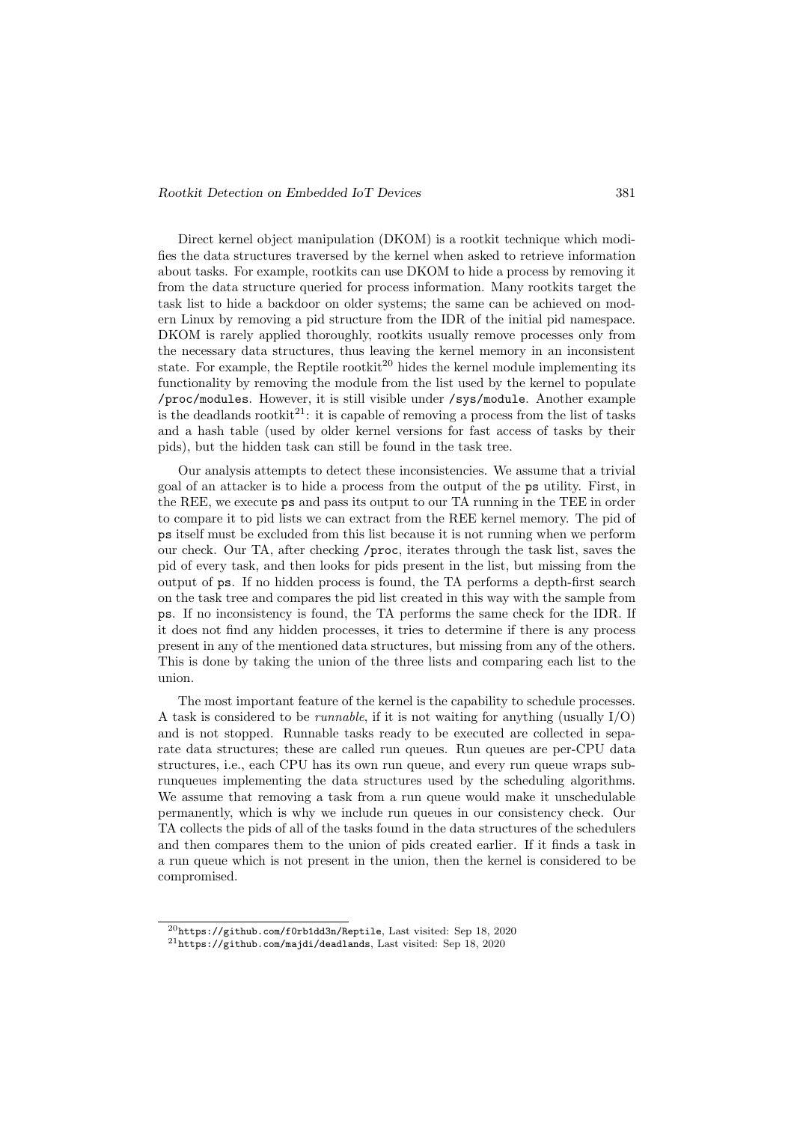Direct kernel object manipulation (DKOM) is a rootkit technique which modifies the data structures traversed by the kernel when asked to retrieve information about tasks. For example, rootkits can use DKOM to hide a process by removing it from the data structure queried for process information. Many rootkits target the task list to hide a backdoor on older systems; the same can be achieved on modern Linux by removing a pid structure from the IDR of the initial pid namespace. DKOM is rarely applied thoroughly, rootkits usually remove processes only from the necessary data structures, thus leaving the kernel memory in an inconsistent state. For example, the Reptile rootkit<sup>20</sup> hides the kernel module implementing its functionality by removing the module from the list used by the kernel to populate /proc/modules. However, it is still visible under /sys/module. Another example is the deadlands rootkit<sup>21</sup>: it is capable of removing a process from the list of tasks and a hash table (used by older kernel versions for fast access of tasks by their pids), but the hidden task can still be found in the task tree.

Our analysis attempts to detect these inconsistencies. We assume that a trivial goal of an attacker is to hide a process from the output of the ps utility. First, in the REE, we execute ps and pass its output to our TA running in the TEE in order to compare it to pid lists we can extract from the REE kernel memory. The pid of ps itself must be excluded from this list because it is not running when we perform our check. Our TA, after checking /proc, iterates through the task list, saves the pid of every task, and then looks for pids present in the list, but missing from the output of ps. If no hidden process is found, the TA performs a depth-first search on the task tree and compares the pid list created in this way with the sample from ps. If no inconsistency is found, the TA performs the same check for the IDR. If it does not find any hidden processes, it tries to determine if there is any process present in any of the mentioned data structures, but missing from any of the others. This is done by taking the union of the three lists and comparing each list to the union.

The most important feature of the kernel is the capability to schedule processes. A task is considered to be *runnable*, if it is not waiting for anything (usually  $I/O$ ) and is not stopped. Runnable tasks ready to be executed are collected in separate data structures; these are called run queues. Run queues are per-CPU data structures, i.e., each CPU has its own run queue, and every run queue wraps subrunqueues implementing the data structures used by the scheduling algorithms. We assume that removing a task from a run queue would make it unschedulable permanently, which is why we include run queues in our consistency check. Our TA collects the pids of all of the tasks found in the data structures of the schedulers and then compares them to the union of pids created earlier. If it finds a task in a run queue which is not present in the union, then the kernel is considered to be compromised.

 $^{20}\rm{https://github.com/f0rb1dd3n/Reptile, Last visited: Sep 18, 2020}$ 

 $^{21}$ https://github.com/majdi/deadlands, Last visited: Sep 18, 2020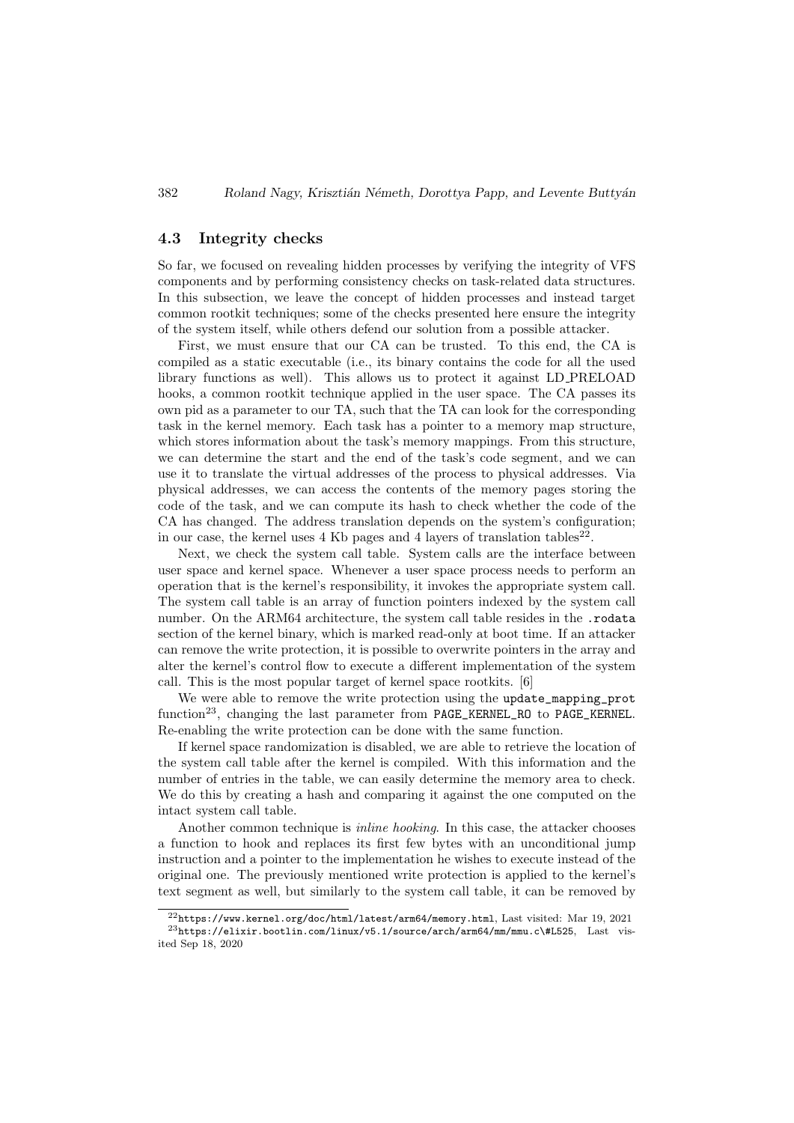### 4.3 Integrity checks

So far, we focused on revealing hidden processes by verifying the integrity of VFS components and by performing consistency checks on task-related data structures. In this subsection, we leave the concept of hidden processes and instead target common rootkit techniques; some of the checks presented here ensure the integrity of the system itself, while others defend our solution from a possible attacker.

First, we must ensure that our CA can be trusted. To this end, the CA is compiled as a static executable (i.e., its binary contains the code for all the used library functions as well). This allows us to protect it against LD PRELOAD hooks, a common rootkit technique applied in the user space. The CA passes its own pid as a parameter to our TA, such that the TA can look for the corresponding task in the kernel memory. Each task has a pointer to a memory map structure, which stores information about the task's memory mappings. From this structure, we can determine the start and the end of the task's code segment, and we can use it to translate the virtual addresses of the process to physical addresses. Via physical addresses, we can access the contents of the memory pages storing the code of the task, and we can compute its hash to check whether the code of the CA has changed. The address translation depends on the system's configuration; in our case, the kernel uses  $4 \text{ Kb}$  pages and  $4$  layers of translation tables<sup>22</sup>.

Next, we check the system call table. System calls are the interface between user space and kernel space. Whenever a user space process needs to perform an operation that is the kernel's responsibility, it invokes the appropriate system call. The system call table is an array of function pointers indexed by the system call number. On the ARM64 architecture, the system call table resides in the .rodata section of the kernel binary, which is marked read-only at boot time. If an attacker can remove the write protection, it is possible to overwrite pointers in the array and alter the kernel's control flow to execute a different implementation of the system call. This is the most popular target of kernel space rootkits. [6]

We were able to remove the write protection using the update\_mapping\_prot function23, changing the last parameter from PAGE\_KERNEL\_RO to PAGE\_KERNEL. Re-enabling the write protection can be done with the same function.

If kernel space randomization is disabled, we are able to retrieve the location of the system call table after the kernel is compiled. With this information and the number of entries in the table, we can easily determine the memory area to check. We do this by creating a hash and comparing it against the one computed on the intact system call table.

Another common technique is *inline hooking*. In this case, the attacker chooses a function to hook and replaces its first few bytes with an unconditional jump instruction and a pointer to the implementation he wishes to execute instead of the original one. The previously mentioned write protection is applied to the kernel's text segment as well, but similarly to the system call table, it can be removed by

 $^{22}$ https://www.kernel.org/doc/html/latest/arm64/memory.html, Last visited: Mar 19, 2021  $^{23}$ https://elixir.bootlin.com/linux/v5.1/source/arch/arm64/mm/mmu.c\#L525, Last visited Sep 18, 2020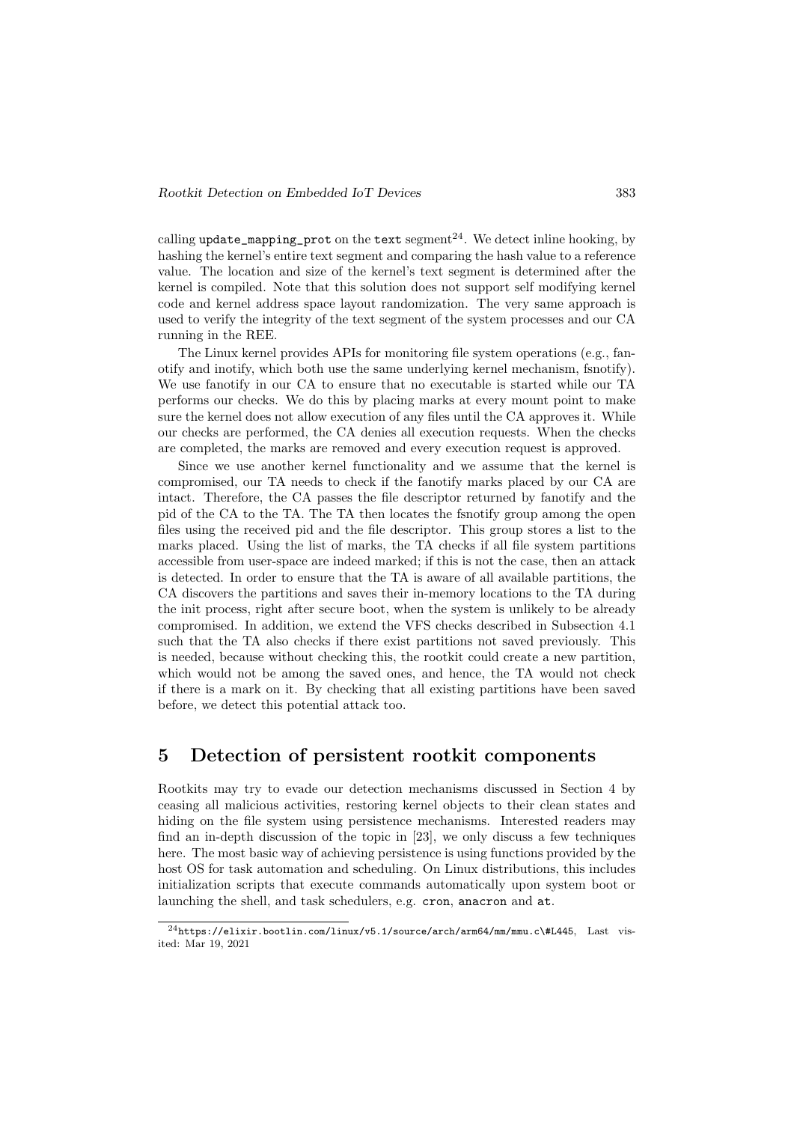calling update\_mapping\_prot on the text segment<sup>24</sup>. We detect inline hooking, by hashing the kernel's entire text segment and comparing the hash value to a reference value. The location and size of the kernel's text segment is determined after the kernel is compiled. Note that this solution does not support self modifying kernel code and kernel address space layout randomization. The very same approach is used to verify the integrity of the text segment of the system processes and our CA running in the REE.

The Linux kernel provides APIs for monitoring file system operations (e.g., fanotify and inotify, which both use the same underlying kernel mechanism, fsnotify). We use fanotify in our CA to ensure that no executable is started while our TA performs our checks. We do this by placing marks at every mount point to make sure the kernel does not allow execution of any files until the CA approves it. While our checks are performed, the CA denies all execution requests. When the checks are completed, the marks are removed and every execution request is approved.

Since we use another kernel functionality and we assume that the kernel is compromised, our TA needs to check if the fanotify marks placed by our CA are intact. Therefore, the CA passes the file descriptor returned by fanotify and the pid of the CA to the TA. The TA then locates the fsnotify group among the open files using the received pid and the file descriptor. This group stores a list to the marks placed. Using the list of marks, the TA checks if all file system partitions accessible from user-space are indeed marked; if this is not the case, then an attack is detected. In order to ensure that the TA is aware of all available partitions, the CA discovers the partitions and saves their in-memory locations to the TA during the init process, right after secure boot, when the system is unlikely to be already compromised. In addition, we extend the VFS checks described in Subsection 4.1 such that the TA also checks if there exist partitions not saved previously. This is needed, because without checking this, the rootkit could create a new partition, which would not be among the saved ones, and hence, the TA would not check if there is a mark on it. By checking that all existing partitions have been saved before, we detect this potential attack too.

### 5 Detection of persistent rootkit components

Rootkits may try to evade our detection mechanisms discussed in Section 4 by ceasing all malicious activities, restoring kernel objects to their clean states and hiding on the file system using persistence mechanisms. Interested readers may find an in-depth discussion of the topic in [23], we only discuss a few techniques here. The most basic way of achieving persistence is using functions provided by the host OS for task automation and scheduling. On Linux distributions, this includes initialization scripts that execute commands automatically upon system boot or launching the shell, and task schedulers, e.g. cron, anacron and at.

 $^\mathrm{24} \texttt{https://elixir.bootlin.com/linux/v5.1/source/arch/arm64/mm/mmu.c\\#L445, \texttt{Last vis-}$ ited: Mar 19, 2021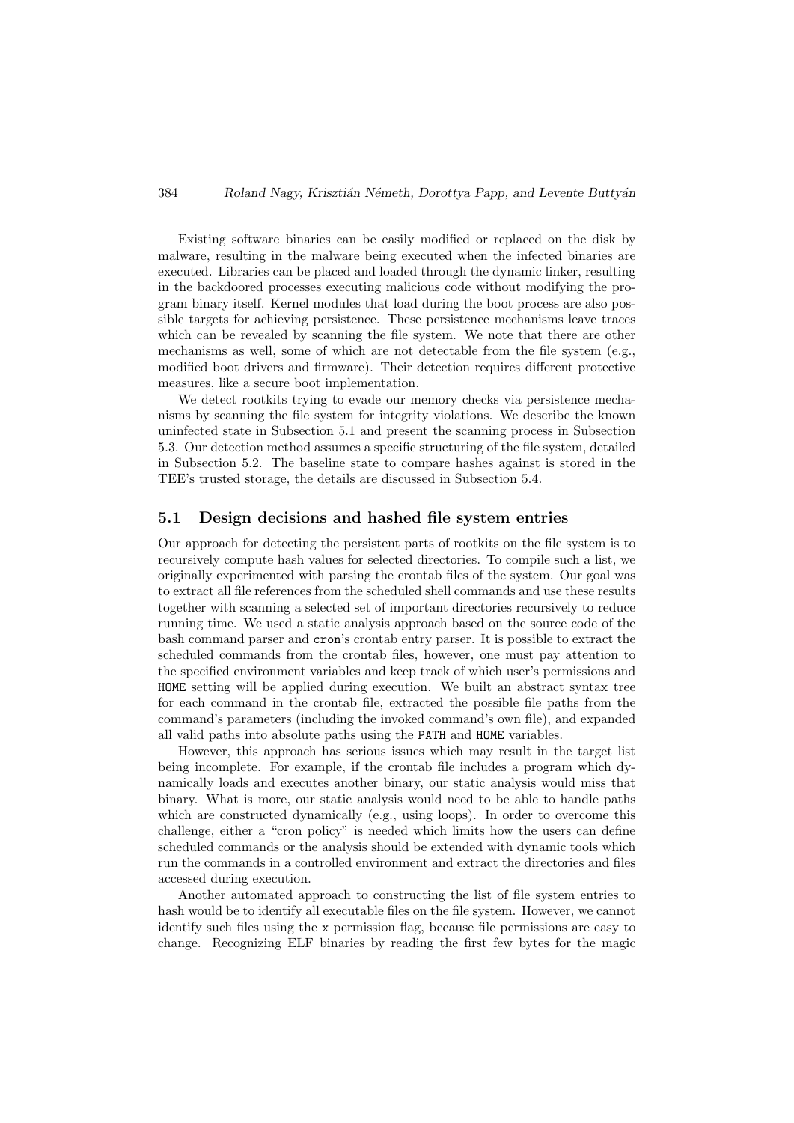Existing software binaries can be easily modified or replaced on the disk by malware, resulting in the malware being executed when the infected binaries are executed. Libraries can be placed and loaded through the dynamic linker, resulting in the backdoored processes executing malicious code without modifying the program binary itself. Kernel modules that load during the boot process are also possible targets for achieving persistence. These persistence mechanisms leave traces which can be revealed by scanning the file system. We note that there are other mechanisms as well, some of which are not detectable from the file system (e.g., modified boot drivers and firmware). Their detection requires different protective measures, like a secure boot implementation.

We detect rootkits trying to evade our memory checks via persistence mechanisms by scanning the file system for integrity violations. We describe the known uninfected state in Subsection 5.1 and present the scanning process in Subsection 5.3. Our detection method assumes a specific structuring of the file system, detailed in Subsection 5.2. The baseline state to compare hashes against is stored in the TEE's trusted storage, the details are discussed in Subsection 5.4.

### 5.1 Design decisions and hashed file system entries

Our approach for detecting the persistent parts of rootkits on the file system is to recursively compute hash values for selected directories. To compile such a list, we originally experimented with parsing the crontab files of the system. Our goal was to extract all file references from the scheduled shell commands and use these results together with scanning a selected set of important directories recursively to reduce running time. We used a static analysis approach based on the source code of the bash command parser and cron's crontab entry parser. It is possible to extract the scheduled commands from the crontab files, however, one must pay attention to the specified environment variables and keep track of which user's permissions and HOME setting will be applied during execution. We built an abstract syntax tree for each command in the crontab file, extracted the possible file paths from the command's parameters (including the invoked command's own file), and expanded all valid paths into absolute paths using the PATH and HOME variables.

However, this approach has serious issues which may result in the target list being incomplete. For example, if the crontab file includes a program which dynamically loads and executes another binary, our static analysis would miss that binary. What is more, our static analysis would need to be able to handle paths which are constructed dynamically (e.g., using loops). In order to overcome this challenge, either a "cron policy" is needed which limits how the users can define scheduled commands or the analysis should be extended with dynamic tools which run the commands in a controlled environment and extract the directories and files accessed during execution.

Another automated approach to constructing the list of file system entries to hash would be to identify all executable files on the file system. However, we cannot identify such files using the x permission flag, because file permissions are easy to change. Recognizing ELF binaries by reading the first few bytes for the magic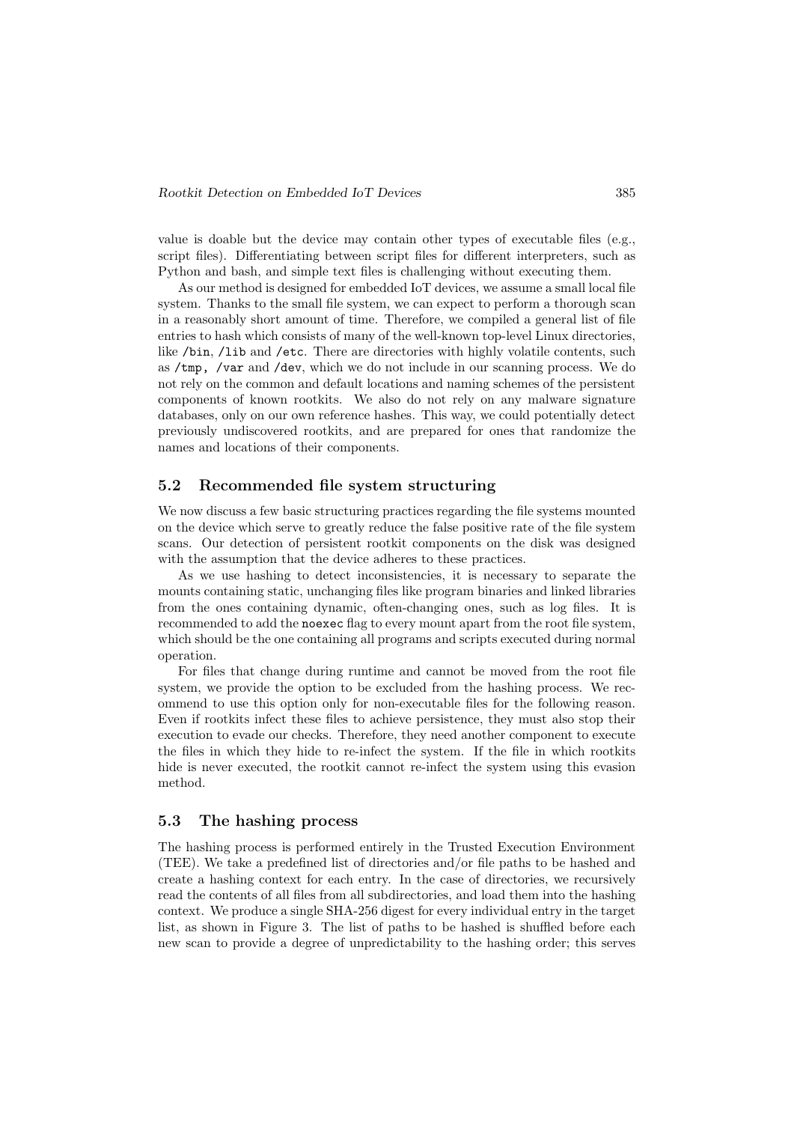value is doable but the device may contain other types of executable files (e.g., script files). Differentiating between script files for different interpreters, such as Python and bash, and simple text files is challenging without executing them.

As our method is designed for embedded IoT devices, we assume a small local file system. Thanks to the small file system, we can expect to perform a thorough scan in a reasonably short amount of time. Therefore, we compiled a general list of file entries to hash which consists of many of the well-known top-level Linux directories, like /bin, /lib and /etc. There are directories with highly volatile contents, such as /tmp, /var and /dev, which we do not include in our scanning process. We do not rely on the common and default locations and naming schemes of the persistent components of known rootkits. We also do not rely on any malware signature databases, only on our own reference hashes. This way, we could potentially detect previously undiscovered rootkits, and are prepared for ones that randomize the names and locations of their components.

### 5.2 Recommended file system structuring

We now discuss a few basic structuring practices regarding the file systems mounted on the device which serve to greatly reduce the false positive rate of the file system scans. Our detection of persistent rootkit components on the disk was designed with the assumption that the device adheres to these practices.

As we use hashing to detect inconsistencies, it is necessary to separate the mounts containing static, unchanging files like program binaries and linked libraries from the ones containing dynamic, often-changing ones, such as log files. It is recommended to add the noexec flag to every mount apart from the root file system, which should be the one containing all programs and scripts executed during normal operation.

For files that change during runtime and cannot be moved from the root file system, we provide the option to be excluded from the hashing process. We recommend to use this option only for non-executable files for the following reason. Even if rootkits infect these files to achieve persistence, they must also stop their execution to evade our checks. Therefore, they need another component to execute the files in which they hide to re-infect the system. If the file in which rootkits hide is never executed, the rootkit cannot re-infect the system using this evasion method.

### 5.3 The hashing process

The hashing process is performed entirely in the Trusted Execution Environment (TEE). We take a predefined list of directories and/or file paths to be hashed and create a hashing context for each entry. In the case of directories, we recursively read the contents of all files from all subdirectories, and load them into the hashing context. We produce a single SHA-256 digest for every individual entry in the target list, as shown in Figure 3. The list of paths to be hashed is shuffled before each new scan to provide a degree of unpredictability to the hashing order; this serves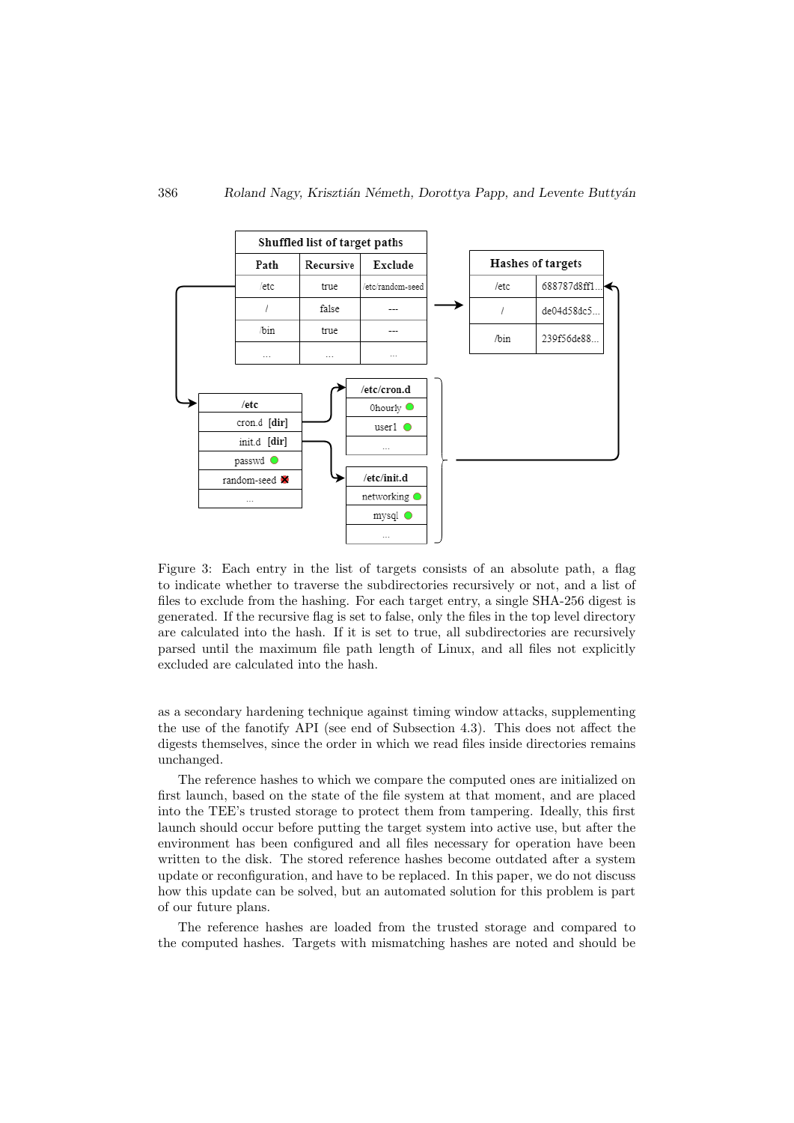

Figure 3: Each entry in the list of targets consists of an absolute path, a flag to indicate whether to traverse the subdirectories recursively or not, and a list of files to exclude from the hashing. For each target entry, a single SHA-256 digest is generated. If the recursive flag is set to false, only the files in the top level directory are calculated into the hash. If it is set to true, all subdirectories are recursively parsed until the maximum file path length of Linux, and all files not explicitly excluded are calculated into the hash.

as a secondary hardening technique against timing window attacks, supplementing the use of the fanotify API (see end of Subsection 4.3). This does not affect the digests themselves, since the order in which we read files inside directories remains unchanged.

The reference hashes to which we compare the computed ones are initialized on first launch, based on the state of the file system at that moment, and are placed into the TEE's trusted storage to protect them from tampering. Ideally, this first launch should occur before putting the target system into active use, but after the environment has been configured and all files necessary for operation have been written to the disk. The stored reference hashes become outdated after a system update or reconfiguration, and have to be replaced. In this paper, we do not discuss how this update can be solved, but an automated solution for this problem is part of our future plans.

The reference hashes are loaded from the trusted storage and compared to the computed hashes. Targets with mismatching hashes are noted and should be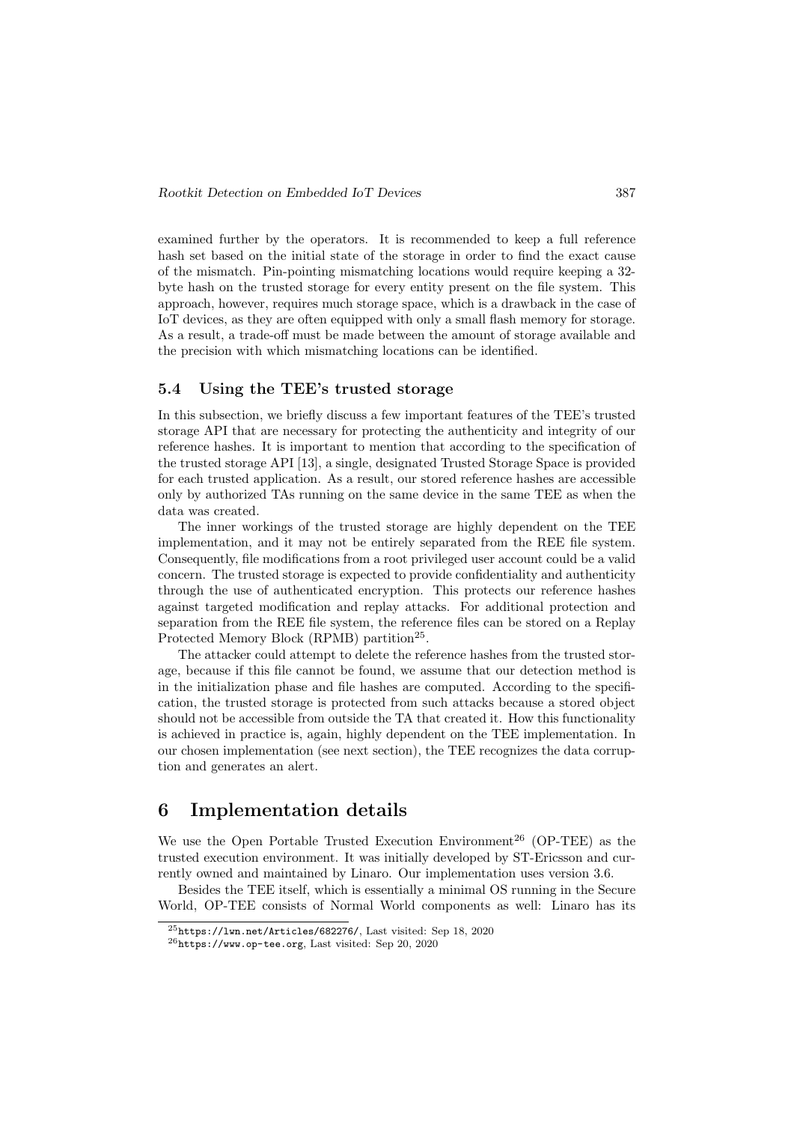examined further by the operators. It is recommended to keep a full reference hash set based on the initial state of the storage in order to find the exact cause of the mismatch. Pin-pointing mismatching locations would require keeping a 32 byte hash on the trusted storage for every entity present on the file system. This approach, however, requires much storage space, which is a drawback in the case of IoT devices, as they are often equipped with only a small flash memory for storage. As a result, a trade-off must be made between the amount of storage available and the precision with which mismatching locations can be identified.

### 5.4 Using the TEE's trusted storage

In this subsection, we briefly discuss a few important features of the TEE's trusted storage API that are necessary for protecting the authenticity and integrity of our reference hashes. It is important to mention that according to the specification of the trusted storage API [13], a single, designated Trusted Storage Space is provided for each trusted application. As a result, our stored reference hashes are accessible only by authorized TAs running on the same device in the same TEE as when the data was created.

The inner workings of the trusted storage are highly dependent on the TEE implementation, and it may not be entirely separated from the REE file system. Consequently, file modifications from a root privileged user account could be a valid concern. The trusted storage is expected to provide confidentiality and authenticity through the use of authenticated encryption. This protects our reference hashes against targeted modification and replay attacks. For additional protection and separation from the REE file system, the reference files can be stored on a Replay Protected Memory Block (RPMB) partition<sup>25</sup>.

The attacker could attempt to delete the reference hashes from the trusted storage, because if this file cannot be found, we assume that our detection method is in the initialization phase and file hashes are computed. According to the specification, the trusted storage is protected from such attacks because a stored object should not be accessible from outside the TA that created it. How this functionality is achieved in practice is, again, highly dependent on the TEE implementation. In our chosen implementation (see next section), the TEE recognizes the data corruption and generates an alert.

### 6 Implementation details

We use the Open Portable Trusted Execution Environment<sup>26</sup> (OP-TEE) as the trusted execution environment. It was initially developed by ST-Ericsson and currently owned and maintained by Linaro. Our implementation uses version 3.6.

Besides the TEE itself, which is essentially a minimal OS running in the Secure World, OP-TEE consists of Normal World components as well: Linaro has its

 $^{25}$ https://1wn.net/Articles/682276/, Last visited: Sep 18, 2020

 $^{26}$ https://www.op-tee.org, Last visited: Sep 20, 2020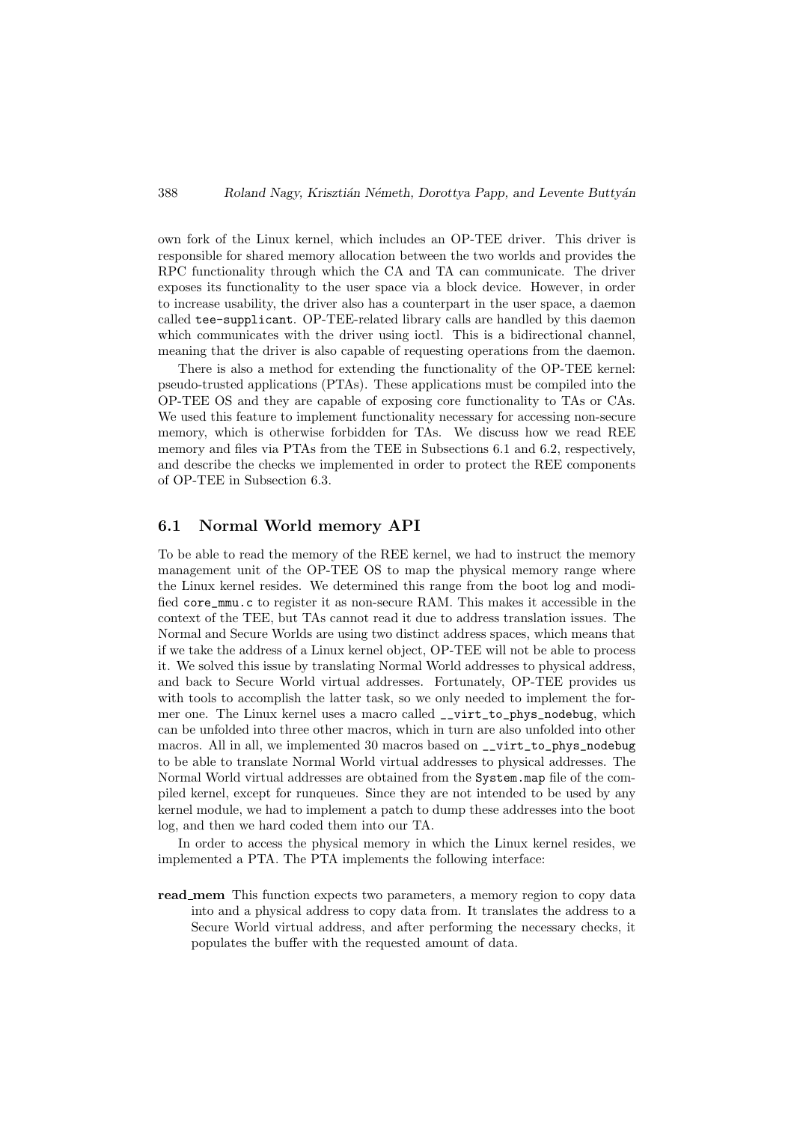own fork of the Linux kernel, which includes an OP-TEE driver. This driver is responsible for shared memory allocation between the two worlds and provides the RPC functionality through which the CA and TA can communicate. The driver exposes its functionality to the user space via a block device. However, in order to increase usability, the driver also has a counterpart in the user space, a daemon called tee-supplicant. OP-TEE-related library calls are handled by this daemon which communicates with the driver using ioctl. This is a bidirectional channel, meaning that the driver is also capable of requesting operations from the daemon.

There is also a method for extending the functionality of the OP-TEE kernel: pseudo-trusted applications (PTAs). These applications must be compiled into the OP-TEE OS and they are capable of exposing core functionality to TAs or CAs. We used this feature to implement functionality necessary for accessing non-secure memory, which is otherwise forbidden for TAs. We discuss how we read REE memory and files via PTAs from the TEE in Subsections 6.1 and 6.2, respectively, and describe the checks we implemented in order to protect the REE components of OP-TEE in Subsection 6.3.

### 6.1 Normal World memory API

To be able to read the memory of the REE kernel, we had to instruct the memory management unit of the OP-TEE OS to map the physical memory range where the Linux kernel resides. We determined this range from the boot log and modified core\_mmu.c to register it as non-secure RAM. This makes it accessible in the context of the TEE, but TAs cannot read it due to address translation issues. The Normal and Secure Worlds are using two distinct address spaces, which means that if we take the address of a Linux kernel object, OP-TEE will not be able to process it. We solved this issue by translating Normal World addresses to physical address, and back to Secure World virtual addresses. Fortunately, OP-TEE provides us with tools to accomplish the latter task, so we only needed to implement the former one. The Linux kernel uses a macro called \_\_virt\_to\_phys\_nodebug, which can be unfolded into three other macros, which in turn are also unfolded into other macros. All in all, we implemented 30 macros based on \_\_virt\_to\_phys\_nodebug to be able to translate Normal World virtual addresses to physical addresses. The Normal World virtual addresses are obtained from the System.map file of the compiled kernel, except for runqueues. Since they are not intended to be used by any kernel module, we had to implement a patch to dump these addresses into the boot log, and then we hard coded them into our TA.

In order to access the physical memory in which the Linux kernel resides, we implemented a PTA. The PTA implements the following interface:

read mem This function expects two parameters, a memory region to copy data into and a physical address to copy data from. It translates the address to a Secure World virtual address, and after performing the necessary checks, it populates the buffer with the requested amount of data.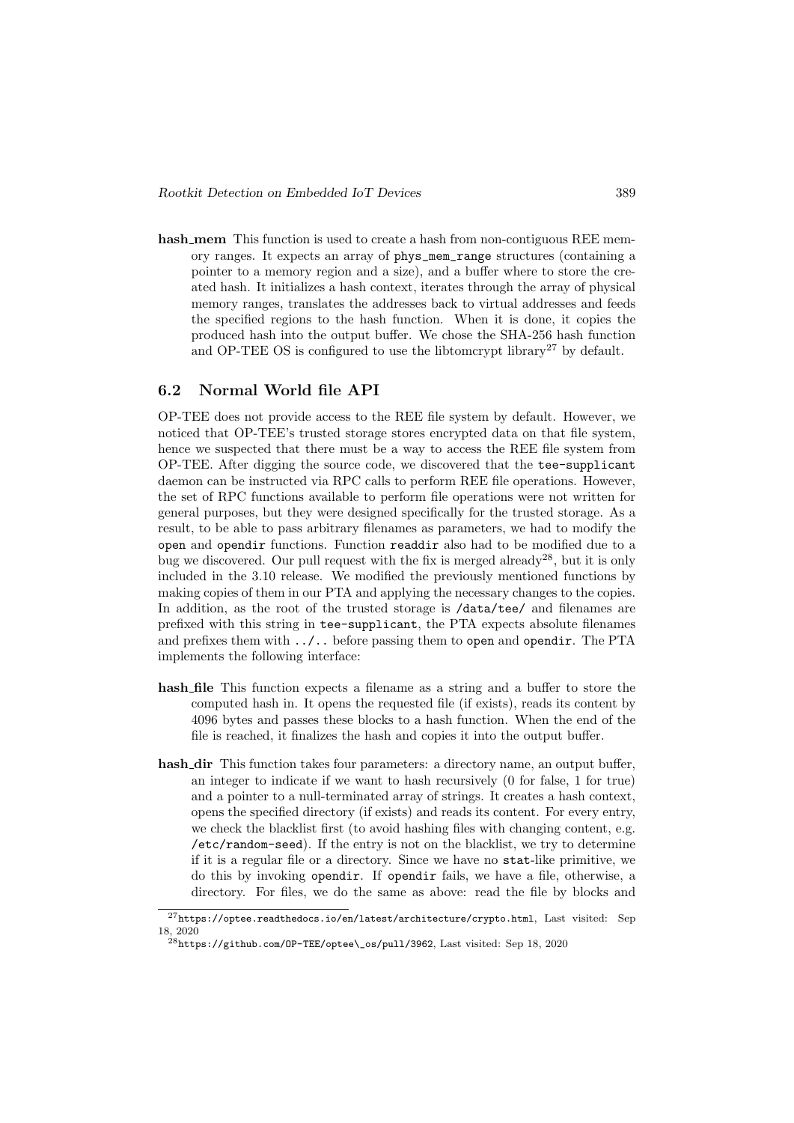hash mem This function is used to create a hash from non-contiguous REE memory ranges. It expects an array of phys\_mem\_range structures (containing a pointer to a memory region and a size), and a buffer where to store the created hash. It initializes a hash context, iterates through the array of physical memory ranges, translates the addresses back to virtual addresses and feeds the specified regions to the hash function. When it is done, it copies the produced hash into the output buffer. We chose the SHA-256 hash function and OP-TEE OS is configured to use the libtomcrypt library<sup>27</sup> by default.

### 6.2 Normal World file API

OP-TEE does not provide access to the REE file system by default. However, we noticed that OP-TEE's trusted storage stores encrypted data on that file system, hence we suspected that there must be a way to access the REE file system from OP-TEE. After digging the source code, we discovered that the tee-supplicant daemon can be instructed via RPC calls to perform REE file operations. However, the set of RPC functions available to perform file operations were not written for general purposes, but they were designed specifically for the trusted storage. As a result, to be able to pass arbitrary filenames as parameters, we had to modify the open and opendir functions. Function readdir also had to be modified due to a bug we discovered. Our pull request with the fix is merged already<sup>28</sup>, but it is only included in the 3.10 release. We modified the previously mentioned functions by making copies of them in our PTA and applying the necessary changes to the copies. In addition, as the root of the trusted storage is /data/tee/ and filenames are prefixed with this string in tee-supplicant, the PTA expects absolute filenames and prefixes them with ../.. before passing them to open and opendir. The PTA implements the following interface:

- hash file This function expects a filename as a string and a buffer to store the computed hash in. It opens the requested file (if exists), reads its content by 4096 bytes and passes these blocks to a hash function. When the end of the file is reached, it finalizes the hash and copies it into the output buffer.
- hash\_dir This function takes four parameters: a directory name, an output buffer, an integer to indicate if we want to hash recursively (0 for false, 1 for true) and a pointer to a null-terminated array of strings. It creates a hash context, opens the specified directory (if exists) and reads its content. For every entry, we check the blacklist first (to avoid hashing files with changing content, e.g. /etc/random-seed). If the entry is not on the blacklist, we try to determine if it is a regular file or a directory. Since we have no stat-like primitive, we do this by invoking opendir. If opendir fails, we have a file, otherwise, a directory. For files, we do the same as above: read the file by blocks and

<sup>27</sup>https://optee.readthedocs.io/en/latest/architecture/crypto.html, Last visited: Sep 18, 2020

 $^{28}$ https://github.com/OP-TEE/optee\\_os/pull/3962. Last visited: Sep 18, 2020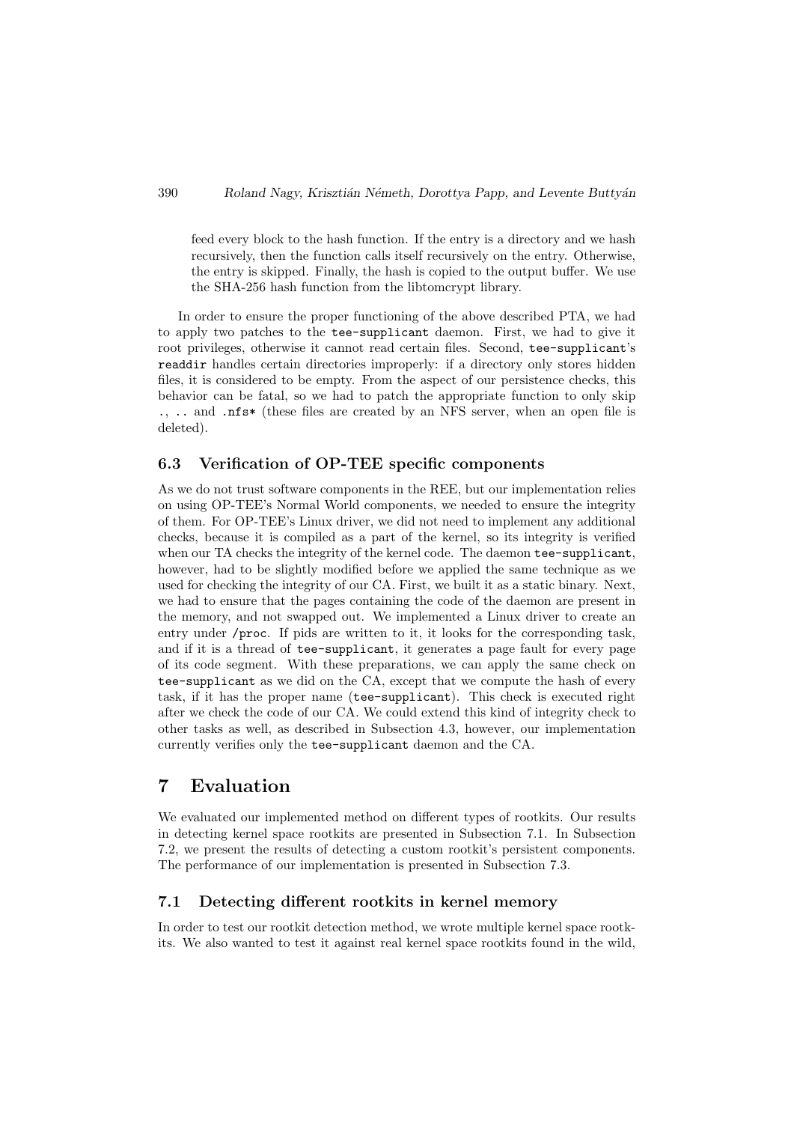feed every block to the hash function. If the entry is a directory and we hash recursively, then the function calls itself recursively on the entry. Otherwise, the entry is skipped. Finally, the hash is copied to the output buffer. We use the SHA-256 hash function from the libtomcrypt library.

In order to ensure the proper functioning of the above described PTA, we had to apply two patches to the tee-supplicant daemon. First, we had to give it root privileges, otherwise it cannot read certain files. Second, tee-supplicant's readdir handles certain directories improperly: if a directory only stores hidden files, it is considered to be empty. From the aspect of our persistence checks, this behavior can be fatal, so we had to patch the appropriate function to only skip ., .. and .nfs\* (these files are created by an NFS server, when an open file is deleted).

### 6.3 Verification of OP-TEE specific components

As we do not trust software components in the REE, but our implementation relies on using OP-TEE's Normal World components, we needed to ensure the integrity of them. For OP-TEE's Linux driver, we did not need to implement any additional checks, because it is compiled as a part of the kernel, so its integrity is verified when our TA checks the integrity of the kernel code. The daemon tee-supplicant, however, had to be slightly modified before we applied the same technique as we used for checking the integrity of our CA. First, we built it as a static binary. Next, we had to ensure that the pages containing the code of the daemon are present in the memory, and not swapped out. We implemented a Linux driver to create an entry under /proc. If pids are written to it, it looks for the corresponding task, and if it is a thread of tee-supplicant, it generates a page fault for every page of its code segment. With these preparations, we can apply the same check on tee-supplicant as we did on the CA, except that we compute the hash of every task, if it has the proper name (tee-supplicant). This check is executed right after we check the code of our CA. We could extend this kind of integrity check to other tasks as well, as described in Subsection 4.3, however, our implementation currently verifies only the tee-supplicant daemon and the CA.

### 7 Evaluation

We evaluated our implemented method on different types of rootkits. Our results in detecting kernel space rootkits are presented in Subsection 7.1. In Subsection 7.2, we present the results of detecting a custom rootkit's persistent components. The performance of our implementation is presented in Subsection 7.3.

#### 7.1 Detecting different rootkits in kernel memory

In order to test our rootkit detection method, we wrote multiple kernel space rootkits. We also wanted to test it against real kernel space rootkits found in the wild,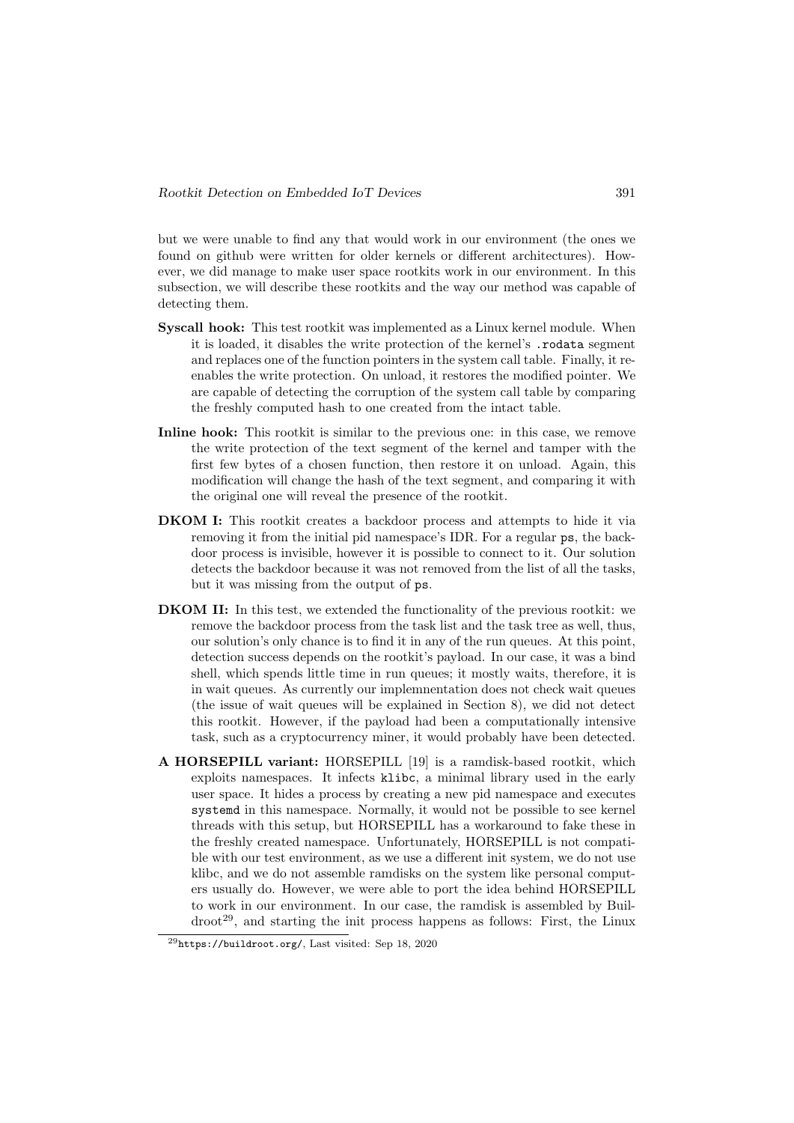but we were unable to find any that would work in our environment (the ones we found on github were written for older kernels or different architectures). However, we did manage to make user space rootkits work in our environment. In this subsection, we will describe these rootkits and the way our method was capable of detecting them.

- Syscall hook: This test rootkit was implemented as a Linux kernel module. When it is loaded, it disables the write protection of the kernel's .rodata segment and replaces one of the function pointers in the system call table. Finally, it reenables the write protection. On unload, it restores the modified pointer. We are capable of detecting the corruption of the system call table by comparing the freshly computed hash to one created from the intact table.
- Inline hook: This rootkit is similar to the previous one: in this case, we remove the write protection of the text segment of the kernel and tamper with the first few bytes of a chosen function, then restore it on unload. Again, this modification will change the hash of the text segment, and comparing it with the original one will reveal the presence of the rootkit.
- DKOM I: This rootkit creates a backdoor process and attempts to hide it via removing it from the initial pid namespace's IDR. For a regular ps, the backdoor process is invisible, however it is possible to connect to it. Our solution detects the backdoor because it was not removed from the list of all the tasks, but it was missing from the output of ps.
- DKOM II: In this test, we extended the functionality of the previous rootkit: we remove the backdoor process from the task list and the task tree as well, thus, our solution's only chance is to find it in any of the run queues. At this point, detection success depends on the rootkit's payload. In our case, it was a bind shell, which spends little time in run queues; it mostly waits, therefore, it is in wait queues. As currently our implemnentation does not check wait queues (the issue of wait queues will be explained in Section 8), we did not detect this rootkit. However, if the payload had been a computationally intensive task, such as a cryptocurrency miner, it would probably have been detected.
- A HORSEPILL variant: HORSEPILL [19] is a ramdisk-based rootkit, which exploits namespaces. It infects klibc, a minimal library used in the early user space. It hides a process by creating a new pid namespace and executes systemd in this namespace. Normally, it would not be possible to see kernel threads with this setup, but HORSEPILL has a workaround to fake these in the freshly created namespace. Unfortunately, HORSEPILL is not compatible with our test environment, as we use a different init system, we do not use klibc, and we do not assemble ramdisks on the system like personal computers usually do. However, we were able to port the idea behind HORSEPILL to work in our environment. In our case, the ramdisk is assembled by Buil- $\text{droot}^{29}$ , and starting the init process happens as follows: First, the Linux

 $^{29}$ https://buildroot.org/, Last visited: Sep 18, 2020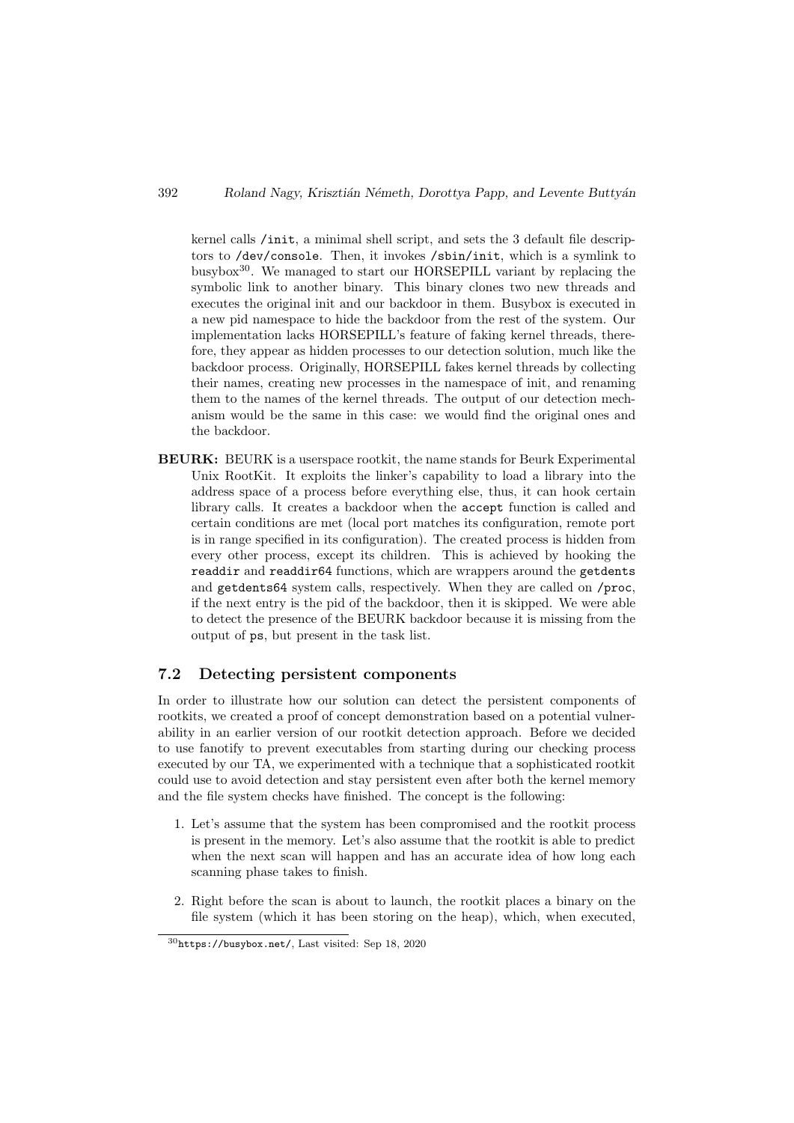kernel calls /init, a minimal shell script, and sets the 3 default file descriptors to /dev/console. Then, it invokes /sbin/init, which is a symlink to busybox30. We managed to start our HORSEPILL variant by replacing the symbolic link to another binary. This binary clones two new threads and executes the original init and our backdoor in them. Busybox is executed in a new pid namespace to hide the backdoor from the rest of the system. Our implementation lacks HORSEPILL's feature of faking kernel threads, therefore, they appear as hidden processes to our detection solution, much like the backdoor process. Originally, HORSEPILL fakes kernel threads by collecting their names, creating new processes in the namespace of init, and renaming them to the names of the kernel threads. The output of our detection mechanism would be the same in this case: we would find the original ones and the backdoor.

BEURK: BEURK is a userspace rootkit, the name stands for Beurk Experimental Unix RootKit. It exploits the linker's capability to load a library into the address space of a process before everything else, thus, it can hook certain library calls. It creates a backdoor when the accept function is called and certain conditions are met (local port matches its configuration, remote port is in range specified in its configuration). The created process is hidden from every other process, except its children. This is achieved by hooking the readdir and readdir64 functions, which are wrappers around the getdents and getdents64 system calls, respectively. When they are called on /proc, if the next entry is the pid of the backdoor, then it is skipped. We were able to detect the presence of the BEURK backdoor because it is missing from the output of ps, but present in the task list.

### 7.2 Detecting persistent components

In order to illustrate how our solution can detect the persistent components of rootkits, we created a proof of concept demonstration based on a potential vulnerability in an earlier version of our rootkit detection approach. Before we decided to use fanotify to prevent executables from starting during our checking process executed by our TA, we experimented with a technique that a sophisticated rootkit could use to avoid detection and stay persistent even after both the kernel memory and the file system checks have finished. The concept is the following:

- 1. Let's assume that the system has been compromised and the rootkit process is present in the memory. Let's also assume that the rootkit is able to predict when the next scan will happen and has an accurate idea of how long each scanning phase takes to finish.
- 2. Right before the scan is about to launch, the rootkit places a binary on the file system (which it has been storing on the heap), which, when executed,

<sup>30</sup>https://busybox.net/, Last visited: Sep 18, 2020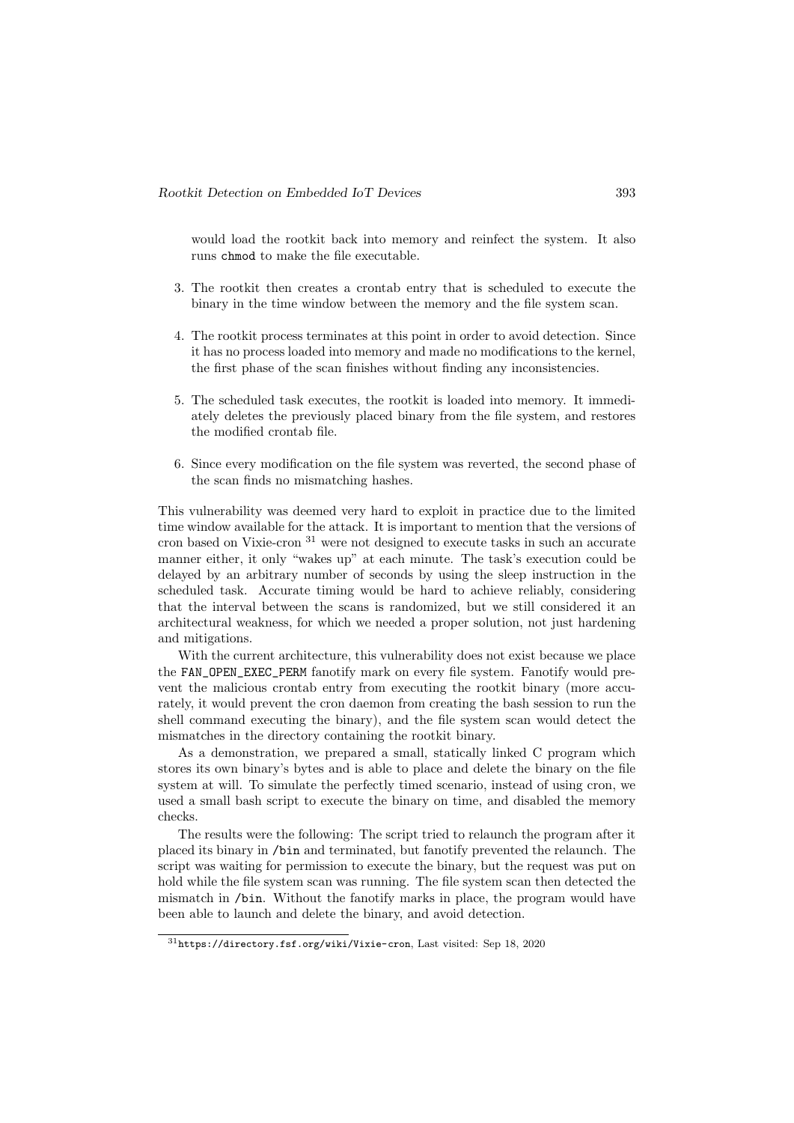would load the rootkit back into memory and reinfect the system. It also runs chmod to make the file executable.

- 3. The rootkit then creates a crontab entry that is scheduled to execute the binary in the time window between the memory and the file system scan.
- 4. The rootkit process terminates at this point in order to avoid detection. Since it has no process loaded into memory and made no modifications to the kernel, the first phase of the scan finishes without finding any inconsistencies.
- 5. The scheduled task executes, the rootkit is loaded into memory. It immediately deletes the previously placed binary from the file system, and restores the modified crontab file.
- 6. Since every modification on the file system was reverted, the second phase of the scan finds no mismatching hashes.

This vulnerability was deemed very hard to exploit in practice due to the limited time window available for the attack. It is important to mention that the versions of cron based on Vixie-cron  $31$  were not designed to execute tasks in such an accurate manner either, it only "wakes up" at each minute. The task's execution could be delayed by an arbitrary number of seconds by using the sleep instruction in the scheduled task. Accurate timing would be hard to achieve reliably, considering that the interval between the scans is randomized, but we still considered it an architectural weakness, for which we needed a proper solution, not just hardening and mitigations.

With the current architecture, this vulnerability does not exist because we place the FAN\_OPEN\_EXEC\_PERM fanotify mark on every file system. Fanotify would prevent the malicious crontab entry from executing the rootkit binary (more accurately, it would prevent the cron daemon from creating the bash session to run the shell command executing the binary), and the file system scan would detect the mismatches in the directory containing the rootkit binary.

As a demonstration, we prepared a small, statically linked C program which stores its own binary's bytes and is able to place and delete the binary on the file system at will. To simulate the perfectly timed scenario, instead of using cron, we used a small bash script to execute the binary on time, and disabled the memory checks.

The results were the following: The script tried to relaunch the program after it placed its binary in /bin and terminated, but fanotify prevented the relaunch. The script was waiting for permission to execute the binary, but the request was put on hold while the file system scan was running. The file system scan then detected the mismatch in /bin. Without the fanotify marks in place, the program would have been able to launch and delete the binary, and avoid detection.

<sup>31</sup>https://directory.fsf.org/wiki/Vixie-cron, Last visited: Sep 18, 2020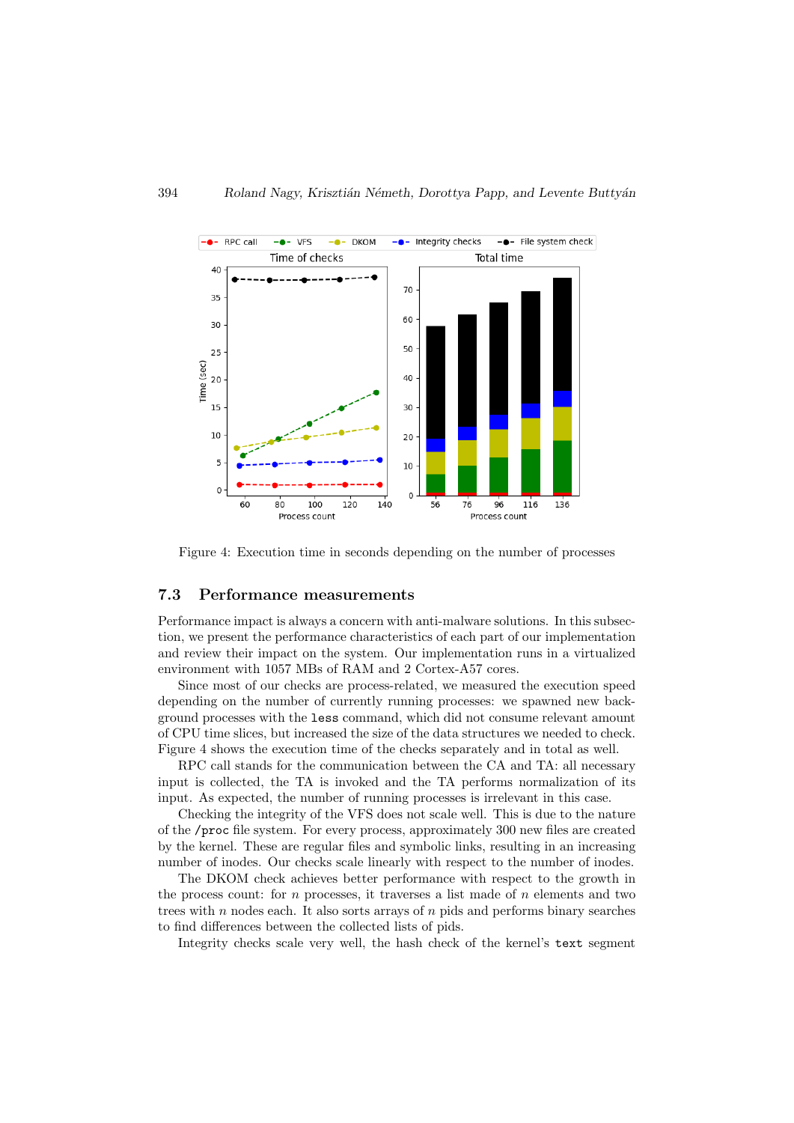

Figure 4: Execution time in seconds depending on the number of processes

#### 7.3 Performance measurements

Performance impact is always a concern with anti-malware solutions. In this subsection, we present the performance characteristics of each part of our implementation and review their impact on the system. Our implementation runs in a virtualized environment with 1057 MBs of RAM and 2 Cortex-A57 cores.

Since most of our checks are process-related, we measured the execution speed depending on the number of currently running processes: we spawned new background processes with the less command, which did not consume relevant amount of CPU time slices, but increased the size of the data structures we needed to check. Figure 4 shows the execution time of the checks separately and in total as well.

RPC call stands for the communication between the CA and TA: all necessary input is collected, the TA is invoked and the TA performs normalization of its input. As expected, the number of running processes is irrelevant in this case.

Checking the integrity of the VFS does not scale well. This is due to the nature of the /proc file system. For every process, approximately 300 new files are created by the kernel. These are regular files and symbolic links, resulting in an increasing number of inodes. Our checks scale linearly with respect to the number of inodes.

The DKOM check achieves better performance with respect to the growth in the process count: for  $n$  processes, it traverses a list made of  $n$  elements and two trees with  $n$  nodes each. It also sorts arrays of  $n$  pids and performs binary searches to find differences between the collected lists of pids.

Integrity checks scale very well, the hash check of the kernel's text segment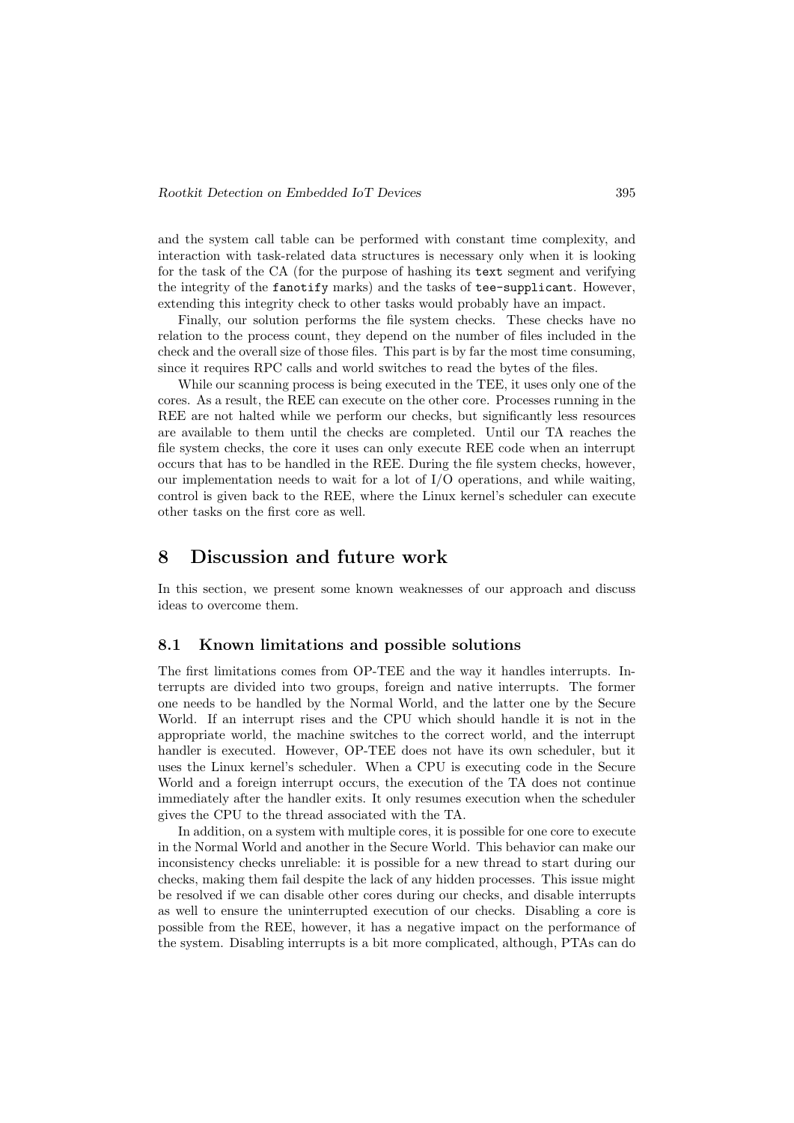and the system call table can be performed with constant time complexity, and interaction with task-related data structures is necessary only when it is looking for the task of the CA (for the purpose of hashing its text segment and verifying the integrity of the fanotify marks) and the tasks of tee-supplicant. However, extending this integrity check to other tasks would probably have an impact.

Finally, our solution performs the file system checks. These checks have no relation to the process count, they depend on the number of files included in the check and the overall size of those files. This part is by far the most time consuming, since it requires RPC calls and world switches to read the bytes of the files.

While our scanning process is being executed in the TEE, it uses only one of the cores. As a result, the REE can execute on the other core. Processes running in the REE are not halted while we perform our checks, but significantly less resources are available to them until the checks are completed. Until our TA reaches the file system checks, the core it uses can only execute REE code when an interrupt occurs that has to be handled in the REE. During the file system checks, however, our implementation needs to wait for a lot of I/O operations, and while waiting, control is given back to the REE, where the Linux kernel's scheduler can execute other tasks on the first core as well.

### 8 Discussion and future work

In this section, we present some known weaknesses of our approach and discuss ideas to overcome them.

#### 8.1 Known limitations and possible solutions

The first limitations comes from OP-TEE and the way it handles interrupts. Interrupts are divided into two groups, foreign and native interrupts. The former one needs to be handled by the Normal World, and the latter one by the Secure World. If an interrupt rises and the CPU which should handle it is not in the appropriate world, the machine switches to the correct world, and the interrupt handler is executed. However, OP-TEE does not have its own scheduler, but it uses the Linux kernel's scheduler. When a CPU is executing code in the Secure World and a foreign interrupt occurs, the execution of the TA does not continue immediately after the handler exits. It only resumes execution when the scheduler gives the CPU to the thread associated with the TA.

In addition, on a system with multiple cores, it is possible for one core to execute in the Normal World and another in the Secure World. This behavior can make our inconsistency checks unreliable: it is possible for a new thread to start during our checks, making them fail despite the lack of any hidden processes. This issue might be resolved if we can disable other cores during our checks, and disable interrupts as well to ensure the uninterrupted execution of our checks. Disabling a core is possible from the REE, however, it has a negative impact on the performance of the system. Disabling interrupts is a bit more complicated, although, PTAs can do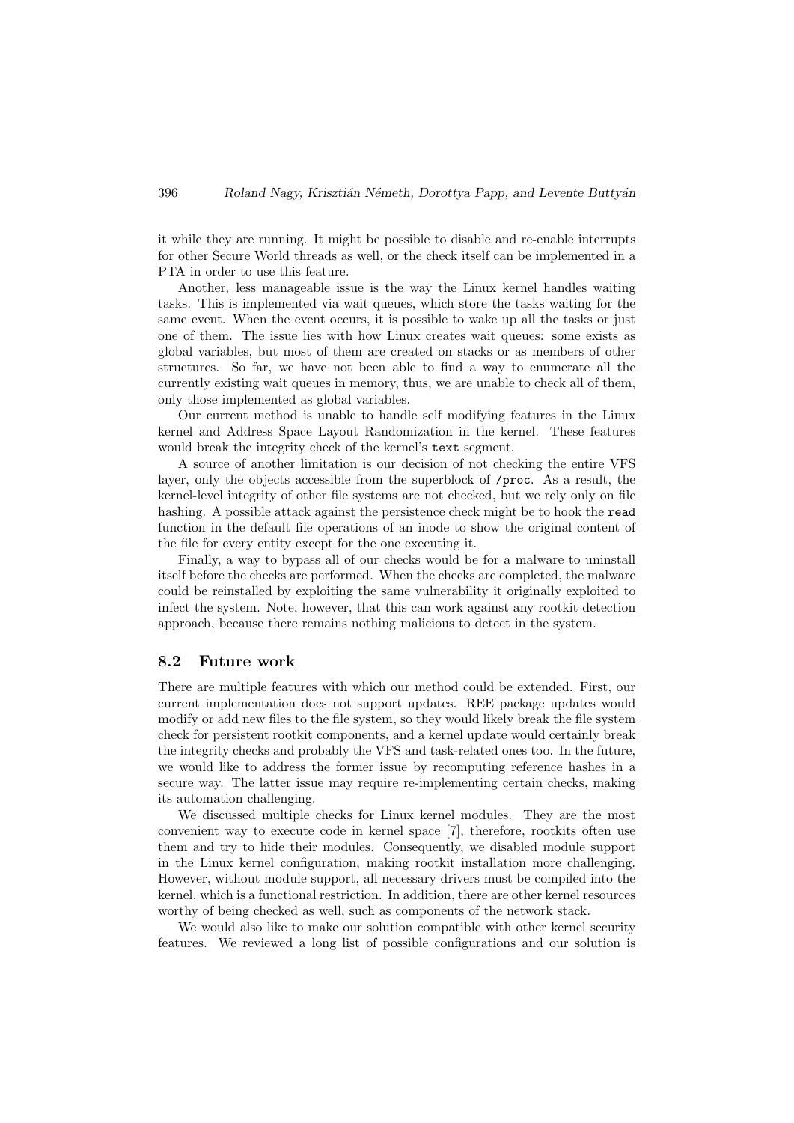it while they are running. It might be possible to disable and re-enable interrupts for other Secure World threads as well, or the check itself can be implemented in a PTA in order to use this feature.

Another, less manageable issue is the way the Linux kernel handles waiting tasks. This is implemented via wait queues, which store the tasks waiting for the same event. When the event occurs, it is possible to wake up all the tasks or just one of them. The issue lies with how Linux creates wait queues: some exists as global variables, but most of them are created on stacks or as members of other structures. So far, we have not been able to find a way to enumerate all the currently existing wait queues in memory, thus, we are unable to check all of them, only those implemented as global variables.

Our current method is unable to handle self modifying features in the Linux kernel and Address Space Layout Randomization in the kernel. These features would break the integrity check of the kernel's text segment.

A source of another limitation is our decision of not checking the entire VFS layer, only the objects accessible from the superblock of /proc. As a result, the kernel-level integrity of other file systems are not checked, but we rely only on file hashing. A possible attack against the persistence check might be to hook the read function in the default file operations of an inode to show the original content of the file for every entity except for the one executing it.

Finally, a way to bypass all of our checks would be for a malware to uninstall itself before the checks are performed. When the checks are completed, the malware could be reinstalled by exploiting the same vulnerability it originally exploited to infect the system. Note, however, that this can work against any rootkit detection approach, because there remains nothing malicious to detect in the system.

#### 8.2 Future work

There are multiple features with which our method could be extended. First, our current implementation does not support updates. REE package updates would modify or add new files to the file system, so they would likely break the file system check for persistent rootkit components, and a kernel update would certainly break the integrity checks and probably the VFS and task-related ones too. In the future, we would like to address the former issue by recomputing reference hashes in a secure way. The latter issue may require re-implementing certain checks, making its automation challenging.

We discussed multiple checks for Linux kernel modules. They are the most convenient way to execute code in kernel space [7], therefore, rootkits often use them and try to hide their modules. Consequently, we disabled module support in the Linux kernel configuration, making rootkit installation more challenging. However, without module support, all necessary drivers must be compiled into the kernel, which is a functional restriction. In addition, there are other kernel resources worthy of being checked as well, such as components of the network stack.

We would also like to make our solution compatible with other kernel security features. We reviewed a long list of possible configurations and our solution is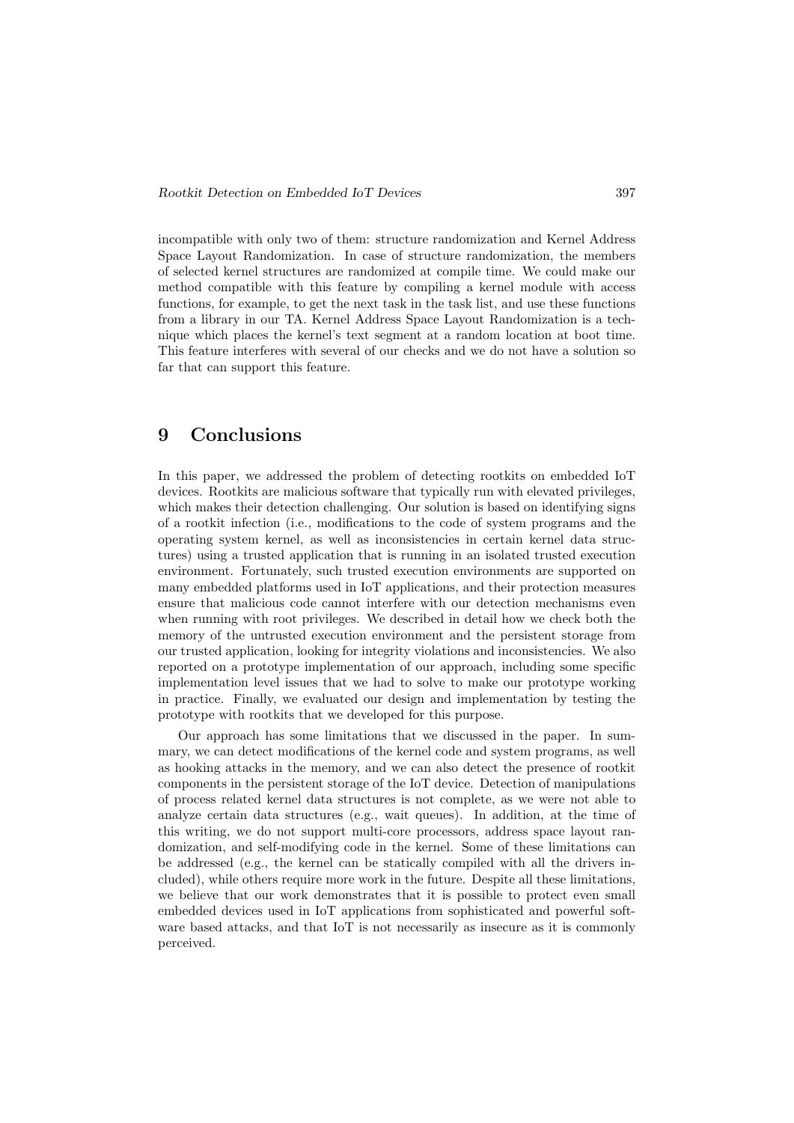incompatible with only two of them: structure randomization and Kernel Address Space Layout Randomization. In case of structure randomization, the members of selected kernel structures are randomized at compile time. We could make our method compatible with this feature by compiling a kernel module with access functions, for example, to get the next task in the task list, and use these functions from a library in our TA. Kernel Address Space Layout Randomization is a technique which places the kernel's text segment at a random location at boot time. This feature interferes with several of our checks and we do not have a solution so far that can support this feature.

# 9 Conclusions

In this paper, we addressed the problem of detecting rootkits on embedded IoT devices. Rootkits are malicious software that typically run with elevated privileges, which makes their detection challenging. Our solution is based on identifying signs of a rootkit infection (i.e., modifications to the code of system programs and the operating system kernel, as well as inconsistencies in certain kernel data structures) using a trusted application that is running in an isolated trusted execution environment. Fortunately, such trusted execution environments are supported on many embedded platforms used in IoT applications, and their protection measures ensure that malicious code cannot interfere with our detection mechanisms even when running with root privileges. We described in detail how we check both the memory of the untrusted execution environment and the persistent storage from our trusted application, looking for integrity violations and inconsistencies. We also reported on a prototype implementation of our approach, including some specific implementation level issues that we had to solve to make our prototype working in practice. Finally, we evaluated our design and implementation by testing the prototype with rootkits that we developed for this purpose.

Our approach has some limitations that we discussed in the paper. In summary, we can detect modifications of the kernel code and system programs, as well as hooking attacks in the memory, and we can also detect the presence of rootkit components in the persistent storage of the IoT device. Detection of manipulations of process related kernel data structures is not complete, as we were not able to analyze certain data structures (e.g., wait queues). In addition, at the time of this writing, we do not support multi-core processors, address space layout randomization, and self-modifying code in the kernel. Some of these limitations can be addressed (e.g., the kernel can be statically compiled with all the drivers included), while others require more work in the future. Despite all these limitations, we believe that our work demonstrates that it is possible to protect even small embedded devices used in IoT applications from sophisticated and powerful software based attacks, and that IoT is not necessarily as insecure as it is commonly perceived.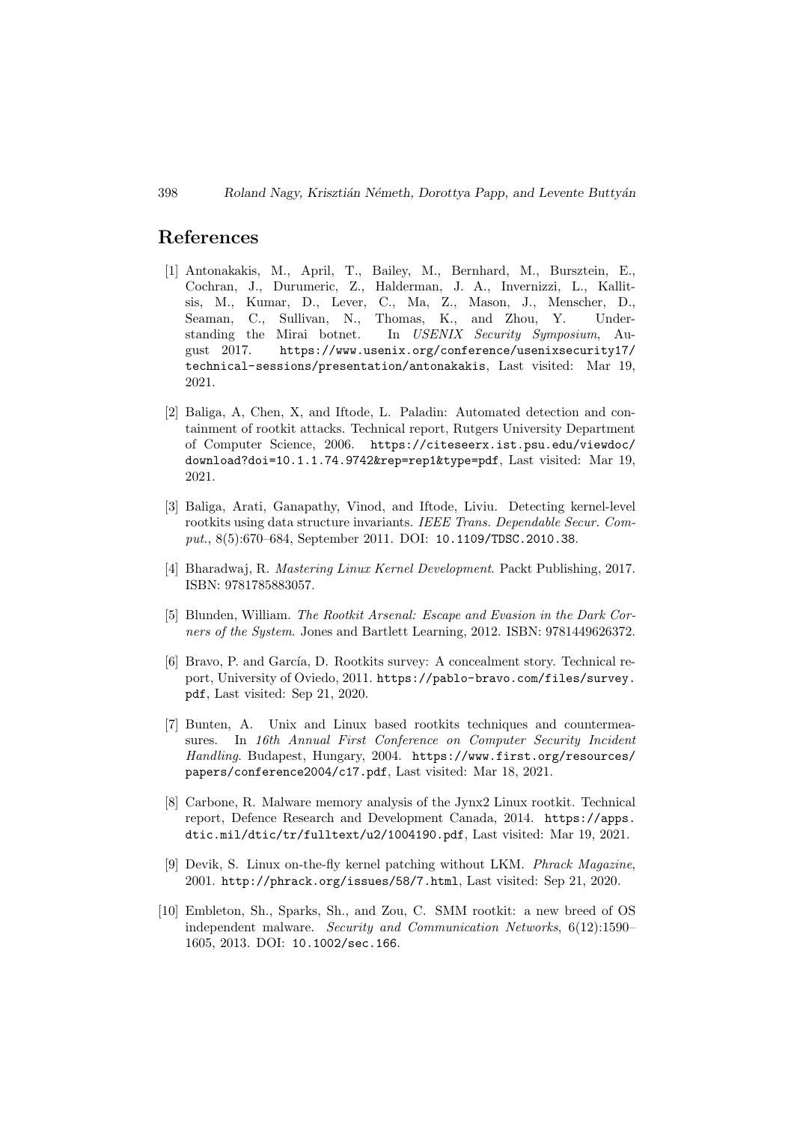### References

- [1] Antonakakis, M., April, T., Bailey, M., Bernhard, M., Bursztein, E., Cochran, J., Durumeric, Z., Halderman, J. A., Invernizzi, L., Kallitsis, M., Kumar, D., Lever, C., Ma, Z., Mason, J., Menscher, D., Seaman, C., Sullivan, N., Thomas, K., and Zhou, Y. Understanding the Mirai botnet. In USENIX Security Symposium, August 2017. https://www.usenix.org/conference/usenixsecurity17/ technical-sessions/presentation/antonakakis, Last visited: Mar 19, 2021.
- [2] Baliga, A, Chen, X, and Iftode, L. Paladin: Automated detection and containment of rootkit attacks. Technical report, Rutgers University Department of Computer Science, 2006. https://citeseerx.ist.psu.edu/viewdoc/ download?doi=10.1.1.74.9742&rep=rep1&type=pdf, Last visited: Mar 19, 2021.
- [3] Baliga, Arati, Ganapathy, Vinod, and Iftode, Liviu. Detecting kernel-level rootkits using data structure invariants. IEEE Trans. Dependable Secur. Comput., 8(5):670–684, September 2011. DOI: 10.1109/TDSC.2010.38.
- [4] Bharadwaj, R. Mastering Linux Kernel Development. Packt Publishing, 2017. ISBN: 9781785883057.
- [5] Blunden, William. The Rootkit Arsenal: Escape and Evasion in the Dark Corners of the System. Jones and Bartlett Learning, 2012. ISBN: 9781449626372.
- [6] Bravo, P. and García, D. Rootkits survey: A concealment story. Technical report, University of Oviedo, 2011. https://pablo-bravo.com/files/survey. pdf, Last visited: Sep 21, 2020.
- [7] Bunten, A. Unix and Linux based rootkits techniques and countermeasures. In 16th Annual First Conference on Computer Security Incident Handling. Budapest, Hungary, 2004. https://www.first.org/resources/ papers/conference2004/c17.pdf, Last visited: Mar 18, 2021.
- [8] Carbone, R. Malware memory analysis of the Jynx2 Linux rootkit. Technical report, Defence Research and Development Canada, 2014. https://apps. dtic.mil/dtic/tr/fulltext/u2/1004190.pdf, Last visited: Mar 19, 2021.
- [9] Devik, S. Linux on-the-fly kernel patching without LKM. Phrack Magazine, 2001. http://phrack.org/issues/58/7.html, Last visited: Sep 21, 2020.
- [10] Embleton, Sh., Sparks, Sh., and Zou, C. SMM rootkit: a new breed of OS independent malware. Security and Communication Networks, 6(12):1590– 1605, 2013. DOI: 10.1002/sec.166.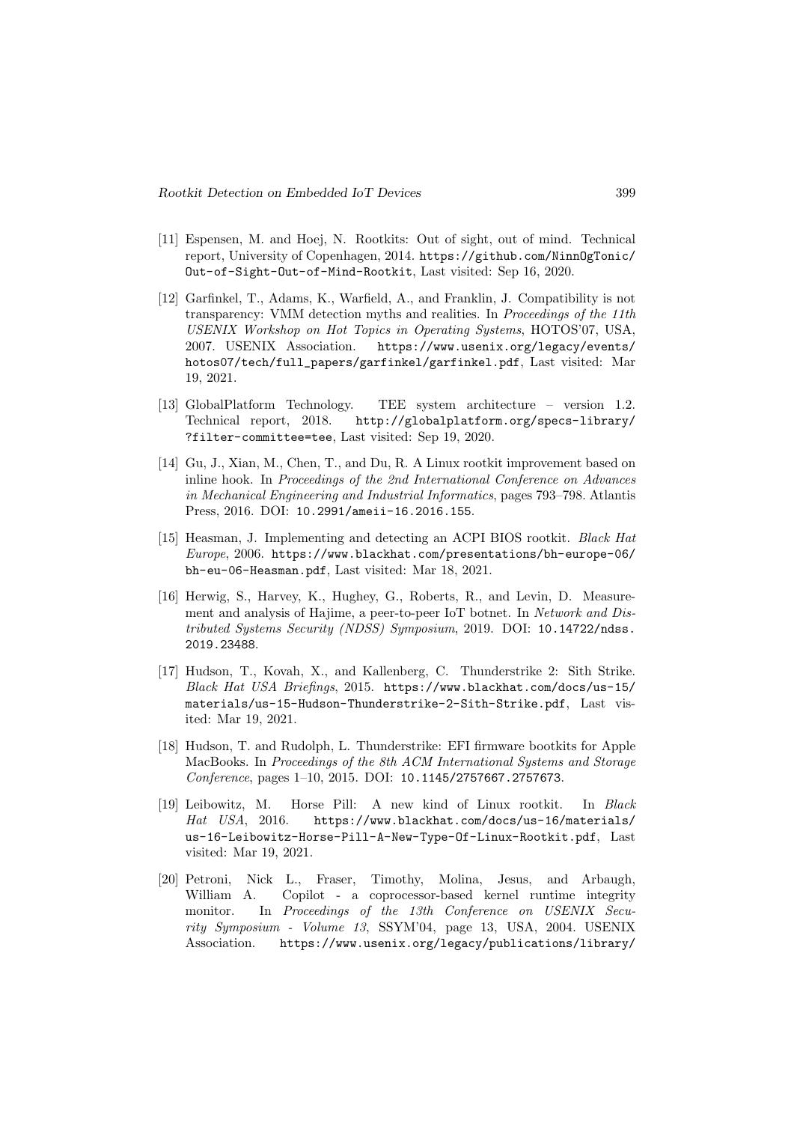- [11] Espensen, M. and Hoej, N. Rootkits: Out of sight, out of mind. Technical report, University of Copenhagen, 2014. https://github.com/NinnOgTonic/ Out-of-Sight-Out-of-Mind-Rootkit, Last visited: Sep 16, 2020.
- [12] Garfinkel, T., Adams, K., Warfield, A., and Franklin, J. Compatibility is not transparency: VMM detection myths and realities. In Proceedings of the 11th USENIX Workshop on Hot Topics in Operating Systems, HOTOS'07, USA, 2007. USENIX Association. https://www.usenix.org/legacy/events/ hotos07/tech/full\_papers/garfinkel/garfinkel.pdf, Last visited: Mar 19, 2021.
- [13] GlobalPlatform Technology. TEE system architecture version 1.2. Technical report, 2018. http://globalplatform.org/specs-library/ ?filter-committee=tee, Last visited: Sep 19, 2020.
- [14] Gu, J., Xian, M., Chen, T., and Du, R. A Linux rootkit improvement based on inline hook. In Proceedings of the 2nd International Conference on Advances in Mechanical Engineering and Industrial Informatics, pages 793–798. Atlantis Press, 2016. DOI: 10.2991/ameii-16.2016.155.
- [15] Heasman, J. Implementing and detecting an ACPI BIOS rootkit. Black Hat Europe, 2006. https://www.blackhat.com/presentations/bh-europe-06/ bh-eu-06-Heasman.pdf, Last visited: Mar 18, 2021.
- [16] Herwig, S., Harvey, K., Hughey, G., Roberts, R., and Levin, D. Measurement and analysis of Hajime, a peer-to-peer IoT botnet. In Network and Distributed Systems Security (NDSS) Symposium, 2019. DOI: 10.14722/ndss. 2019.23488.
- [17] Hudson, T., Kovah, X., and Kallenberg, C. Thunderstrike 2: Sith Strike. Black Hat USA Briefings, 2015. https://www.blackhat.com/docs/us-15/ materials/us-15-Hudson-Thunderstrike-2-Sith-Strike.pdf, Last visited: Mar 19, 2021.
- [18] Hudson, T. and Rudolph, L. Thunderstrike: EFI firmware bootkits for Apple MacBooks. In Proceedings of the 8th ACM International Systems and Storage Conference, pages 1–10, 2015. DOI: 10.1145/2757667.2757673.
- [19] Leibowitz, M. Horse Pill: A new kind of Linux rootkit. In Black Hat USA, 2016. https://www.blackhat.com/docs/us-16/materials/ us-16-Leibowitz-Horse-Pill-A-New-Type-Of-Linux-Rootkit.pdf, Last visited: Mar 19, 2021.
- [20] Petroni, Nick L., Fraser, Timothy, Molina, Jesus, and Arbaugh, William A. Copilot - a coprocessor-based kernel runtime integrity monitor. In Proceedings of the 13th Conference on USENIX Security Symposium - Volume 13, SSYM'04, page 13, USA, 2004. USENIX Association. https://www.usenix.org/legacy/publications/library/